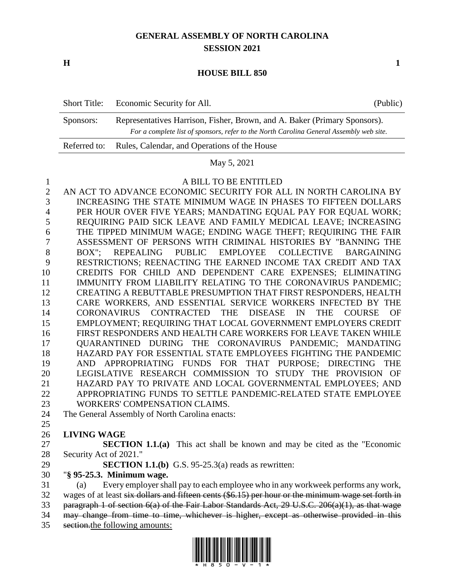## **GENERAL ASSEMBLY OF NORTH CAROLINA SESSION 2021**

**H 1**

### **HOUSE BILL 850**

|           | Short Title: Economic Security for All.                                                                                                                              | (Public) |
|-----------|----------------------------------------------------------------------------------------------------------------------------------------------------------------------|----------|
| Sponsors: | Representatives Harrison, Fisher, Brown, and A. Baker (Primary Sponsors).<br>For a complete list of sponsors, refer to the North Carolina General Assembly web site. |          |
|           | Referred to: Rules, Calendar, and Operations of the House                                                                                                            |          |

### May 5, 2021

### A BILL TO BE ENTITLED

 AN ACT TO ADVANCE ECONOMIC SECURITY FOR ALL IN NORTH CAROLINA BY INCREASING THE STATE MINIMUM WAGE IN PHASES TO FIFTEEN DOLLARS PER HOUR OVER FIVE YEARS; MANDATING EQUAL PAY FOR EQUAL WORK; REQUIRING PAID SICK LEAVE AND FAMILY MEDICAL LEAVE; INCREASING THE TIPPED MINIMUM WAGE; ENDING WAGE THEFT; REQUIRING THE FAIR ASSESSMENT OF PERSONS WITH CRIMINAL HISTORIES BY "BANNING THE BOX"; REPEALING PUBLIC EMPLOYEE COLLECTIVE BARGAINING RESTRICTIONS; REENACTING THE EARNED INCOME TAX CREDIT AND TAX CREDITS FOR CHILD AND DEPENDENT CARE EXPENSES; ELIMINATING IMMUNITY FROM LIABILITY RELATING TO THE CORONAVIRUS PANDEMIC; CREATING A REBUTTABLE PRESUMPTION THAT FIRST RESPONDERS, HEALTH CARE WORKERS, AND ESSENTIAL SERVICE WORKERS INFECTED BY THE CORONAVIRUS CONTRACTED THE DISEASE IN THE COURSE OF EMPLOYMENT; REQUIRING THAT LOCAL GOVERNMENT EMPLOYERS CREDIT FIRST RESPONDERS AND HEALTH CARE WORKERS FOR LEAVE TAKEN WHILE QUARANTINED DURING THE CORONAVIRUS PANDEMIC; MANDATING HAZARD PAY FOR ESSENTIAL STATE EMPLOYEES FIGHTING THE PANDEMIC AND APPROPRIATING FUNDS FOR THAT PURPOSE; DIRECTING THE LEGISLATIVE RESEARCH COMMISSION TO STUDY THE PROVISION OF HAZARD PAY TO PRIVATE AND LOCAL GOVERNMENTAL EMPLOYEES; AND APPROPRIATING FUNDS TO SETTLE PANDEMIC-RELATED STATE EMPLOYEE WORKERS' COMPENSATION CLAIMS. The General Assembly of North Carolina enacts: 

## **LIVING WAGE**

 **SECTION 1.1.(a)** This act shall be known and may be cited as the "Economic Security Act of 2021."

**SECTION 1.1.(b)** G.S. 95-25.3(a) reads as rewritten:

"**§ 95-25.3. Minimum wage.**

 (a) Every employer shall pay to each employee who in any workweek performs any work, 32 wages of at least six dollars and fifteen cents (\$6.15) per hour or the minimum wage set forth in paragraph 1 of section 6(a) of the Fair Labor Standards Act, 29 U.S.C. 206(a)(1), as that wage may change from time to time, whichever is higher, except as otherwise provided in this section.the following amounts:

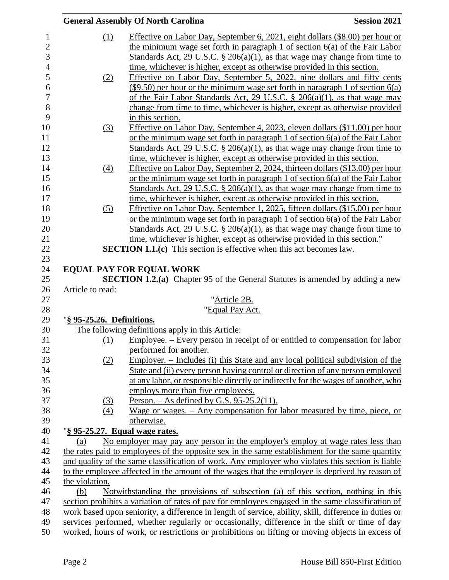|                           | <b>General Assembly Of North Carolina</b>                                                                                                                      | <b>Session 2021</b> |
|---------------------------|----------------------------------------------------------------------------------------------------------------------------------------------------------------|---------------------|
| (1)                       | Effective on Labor Day, September 6, 2021, eight dollars (\$8.00) per hour or                                                                                  |                     |
|                           | the minimum wage set forth in paragraph 1 of section 6(a) of the Fair Labor                                                                                    |                     |
|                           | Standards Act, 29 U.S.C. § 206(a)(1), as that wage may change from time to                                                                                     |                     |
|                           | time, whichever is higher, except as otherwise provided in this section.                                                                                       |                     |
|                           | Effective on Labor Day, September 5, 2022, nine dollars and fifty cents                                                                                        |                     |
| (2)                       | $(\$9.50)$ per hour or the minimum wage set forth in paragraph 1 of section $6(a)$                                                                             |                     |
|                           | of the Fair Labor Standards Act, 29 U.S.C. § 206(a)(1), as that wage may                                                                                       |                     |
|                           |                                                                                                                                                                |                     |
|                           | change from time to time, whichever is higher, except as otherwise provided<br>in this section.                                                                |                     |
|                           | Effective on Labor Day, September 4, 2023, eleven dollars (\$11.00) per hour                                                                                   |                     |
| (3)                       | or the minimum wage set forth in paragraph 1 of section $6(a)$ of the Fair Labor                                                                               |                     |
|                           |                                                                                                                                                                |                     |
|                           | <u>Standards Act, 29 U.S.C. § 206(a)(1), as that wage may change from time to</u>                                                                              |                     |
|                           | time, whichever is higher, except as otherwise provided in this section.                                                                                       |                     |
| $\left(4\right)$          | Effective on Labor Day, September 2, 2024, thirteen dollars (\$13.00) per hour                                                                                 |                     |
|                           | or the minimum wage set forth in paragraph 1 of section $6(a)$ of the Fair Labor                                                                               |                     |
|                           | Standards Act, 29 U.S.C. § 206(a)(1), as that wage may change from time to                                                                                     |                     |
|                           | time, whichever is higher, except as otherwise provided in this section.                                                                                       |                     |
| (5)                       | Effective on Labor Day, September 1, 2025, fifteen dollars (\$15.00) per hour                                                                                  |                     |
|                           | or the minimum wage set forth in paragraph 1 of section 6(a) of the Fair Labor                                                                                 |                     |
|                           | <u>Standards Act, 29 U.S.C. § 206(a)(1), as that wage may change from time to</u><br>time, whichever is higher, except as otherwise provided in this section." |                     |
|                           | <b>SECTION 1.1.(c)</b> This section is effective when this act becomes law.                                                                                    |                     |
|                           |                                                                                                                                                                |                     |
|                           | <b>EQUAL PAY FOR EQUAL WORK</b>                                                                                                                                |                     |
|                           | <b>SECTION 1.2.(a)</b> Chapter 95 of the General Statutes is amended by adding a new                                                                           |                     |
| Article to read:          |                                                                                                                                                                |                     |
|                           | "Article 2B.                                                                                                                                                   |                     |
|                           | "Equal Pay Act.                                                                                                                                                |                     |
| "§ 95-25.26. Definitions. |                                                                                                                                                                |                     |
|                           | The following definitions apply in this Article:                                                                                                               |                     |
| (1)                       | <u>Employee. – Every person in receipt of or entitled to compensation for labor</u>                                                                            |                     |
|                           | performed for another.                                                                                                                                         |                     |
| (2)                       | <u>Employer. – Includes (i) this State and any local political subdivision of the</u>                                                                          |                     |
|                           | State and (ii) every person having control or direction of any person employed                                                                                 |                     |
|                           | at any labor, or responsible directly or indirectly for the wages of another, who                                                                              |                     |
|                           | employs more than five employees.                                                                                                                              |                     |
| <u>(3)</u>                | Person. $-$ As defined by G.S. 95-25.2(11).                                                                                                                    |                     |
| (4)                       | Wage or wages. – Any compensation for labor measured by time, piece, or                                                                                        |                     |
|                           | otherwise.                                                                                                                                                     |                     |
|                           | "§ 95-25.27. Equal wage rates.                                                                                                                                 |                     |
| (a)                       | No employer may pay any person in the employer's employ at wage rates less than                                                                                |                     |
|                           | the rates paid to employees of the opposite sex in the same establishment for the same quantity                                                                |                     |
|                           | and quality of the same classification of work. Any employer who violates this section is liable                                                               |                     |
|                           | to the employee affected in the amount of the wages that the employee is deprived by reason of                                                                 |                     |
| the violation.            |                                                                                                                                                                |                     |
| (b)                       | Notwithstanding the provisions of subsection (a) of this section, nothing in this                                                                              |                     |
|                           | section prohibits a variation of rates of pay for employees engaged in the same classification of                                                              |                     |
|                           | work based upon seniority, a difference in length of service, ability, skill, difference in duties or                                                          |                     |
|                           | services performed, whether regularly or occasionally, difference in the shift or time of day                                                                  |                     |
|                           | worked, hours of work, or restrictions or prohibitions on lifting or moving objects in excess of                                                               |                     |
|                           |                                                                                                                                                                |                     |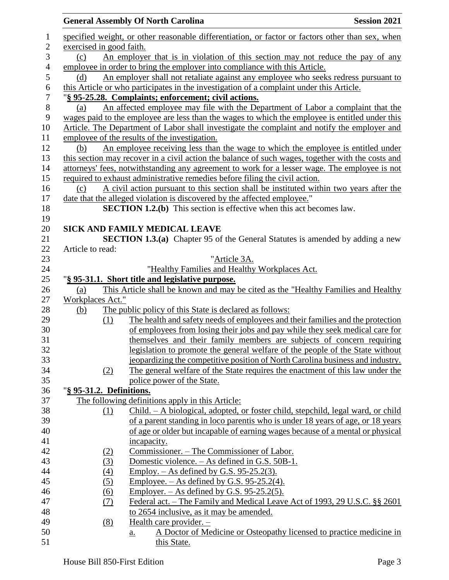|                |                          | <b>General Assembly Of North Carolina</b>                                                         | <b>Session 2021</b> |
|----------------|--------------------------|---------------------------------------------------------------------------------------------------|---------------------|
| $\mathbf{1}$   |                          | specified weight, or other reasonable differentiation, or factor or factors other than sex, when  |                     |
| $\overline{2}$ | exercised in good faith. |                                                                                                   |                     |
| 3              | (c)                      | An employer that is in violation of this section may not reduce the pay of any                    |                     |
| 4              |                          | employee in order to bring the employer into compliance with this Article.                        |                     |
| 5              | (d)                      | An employer shall not retaliate against any employee who seeks redress pursuant to                |                     |
| 6              |                          | this Article or who participates in the investigation of a complaint under this Article.          |                     |
| $\overline{7}$ |                          | "§ 95-25.28. Complaints; enforcement; civil actions.                                              |                     |
| $8\,$          | (a)                      | An affected employee may file with the Department of Labor a complaint that the                   |                     |
| 9              |                          | wages paid to the employee are less than the wages to which the employee is entitled under this   |                     |
| 10             |                          | Article. The Department of Labor shall investigate the complaint and notify the employer and      |                     |
| 11             |                          | employee of the results of the investigation.                                                     |                     |
| 12             | (b)                      | An employee receiving less than the wage to which the employee is entitled under                  |                     |
| 13             |                          | this section may recover in a civil action the balance of such wages, together with the costs and |                     |
| 14             |                          | attorneys' fees, notwithstanding any agreement to work for a lesser wage. The employee is not     |                     |
| 15             |                          | required to exhaust administrative remedies before filing the civil action.                       |                     |
| 16             | (c)                      | A civil action pursuant to this section shall be instituted within two years after the            |                     |
| 17             |                          | date that the alleged violation is discovered by the affected employee."                          |                     |
| 18             |                          | <b>SECTION 1.2.(b)</b> This section is effective when this act becomes law.                       |                     |
| 19             |                          | <b>SICK AND FAMILY MEDICAL LEAVE</b>                                                              |                     |
| 20<br>21       |                          | <b>SECTION 1.3.(a)</b> Chapter 95 of the General Statutes is amended by adding a new              |                     |
| 22             | Article to read:         |                                                                                                   |                     |
| 23             |                          | "Article 3A.                                                                                      |                     |
| 24             |                          | "Healthy Families and Healthy Workplaces Act.                                                     |                     |
| 25             |                          | "§ 95-31.1. Short title and legislative purpose.                                                  |                     |
| 26             | (a)                      | This Article shall be known and may be cited as the "Healthy Families and Healthy                 |                     |
| 27             | Workplaces Act."         |                                                                                                   |                     |
| 28             | <u>(b)</u>               | The public policy of this State is declared as follows:                                           |                     |
| 29             | (1)                      | The health and safety needs of employees and their families and the protection                    |                     |
| 30             |                          | of employees from losing their jobs and pay while they seek medical care for                      |                     |
| 31             |                          | themselves and their family members are subjects of concern requiring                             |                     |
| 32             |                          | legislation to promote the general welfare of the people of the State without                     |                     |
| 33             |                          | jeopardizing the competitive position of North Carolina business and industry.                    |                     |
| 34             | (2)                      | The general welfare of the State requires the enactment of this law under the                     |                     |
| 35             |                          | police power of the State.                                                                        |                     |
| 36             | "§ 95-31.2. Definitions. |                                                                                                   |                     |
| 37             |                          | The following definitions apply in this Article:                                                  |                     |
| 38             | (1)                      | <u>Child. – A biological, adopted, or foster child, stepchild, legal ward, or child</u>           |                     |
| 39             |                          | of a parent standing in loco parentis who is under 18 years of age, or 18 years                   |                     |
| 40             |                          | of age or older but incapable of earning wages because of a mental or physical                    |                     |
| 41<br>42       |                          | incapacity.<br>Commissioner. - The Commissioner of Labor.                                         |                     |
| 43             | <u>(2)</u><br>(3)        | Domestic violence. – As defined in G.S. 50B-1.                                                    |                     |
| 44             | (4)                      | Employ. $-$ As defined by G.S. 95-25.2(3).                                                        |                     |
| 45             | (5)                      | Employee. $-$ As defined by G.S. 95-25.2(4).                                                      |                     |
| 46             | (6)                      | Employer. $-$ As defined by G.S. 95-25.2(5).                                                      |                     |
| 47             | <u>(7)</u>               | Federal act. – The Family and Medical Leave Act of 1993, 29 U.S.C. §§ 2601                        |                     |
| 48             |                          | to 2654 inclusive, as it may be amended.                                                          |                     |
| 49             | (8)                      | Health care provider. -                                                                           |                     |
| 50             |                          | A Doctor of Medicine or Osteopathy licensed to practice medicine in<br>$\underline{a}$ .          |                     |
| 51             |                          | this State.                                                                                       |                     |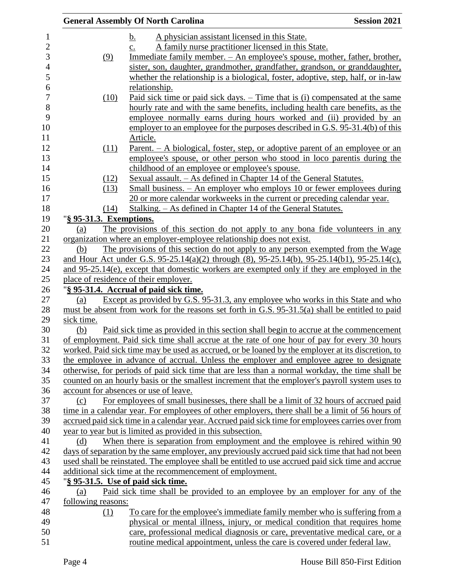|                         | <b>General Assembly Of North Carolina</b>                                                             | <b>Session 2021</b> |
|-------------------------|-------------------------------------------------------------------------------------------------------|---------------------|
|                         | A physician assistant licensed in this State.<br>b.                                                   |                     |
|                         | A family nurse practitioner licensed in this State.<br>$\mathbf{c}$ .                                 |                     |
| (9)                     | <u>Immediate family member. – An employee's spouse, mother, father, brother,</u>                      |                     |
|                         | sister, son, daughter, grandmother, grandfather, grandson, or granddaughter,                          |                     |
|                         | whether the relationship is a biological, foster, adoptive, step, half, or in-law                     |                     |
|                         | relationship.                                                                                         |                     |
| (10)                    | <u>Paid sick time or paid sick days. – Time that is (i) compensated at the same</u>                   |                     |
|                         | hourly rate and with the same benefits, including health care benefits, as the                        |                     |
|                         | employee normally earns during hours worked and (ii) provided by an                                   |                     |
|                         | employer to an employee for the purposes described in G.S. 95-31.4(b) of this                         |                     |
|                         | Article.                                                                                              |                     |
| (11)                    | <u>Parent. – A biological, foster, step, or adoptive parent of an employee or an</u>                  |                     |
|                         | employee's spouse, or other person who stood in loco parentis during the                              |                     |
|                         | childhood of an employee or employee's spouse.                                                        |                     |
| (12)                    | Sexual assault. – As defined in Chapter 14 of the General Statutes.                                   |                     |
| (13)                    | Small business. – An employer who employs 10 or fewer employees during                                |                     |
|                         | 20 or more calendar workweeks in the current or preceding calendar year.                              |                     |
| (14)                    | Stalking. – As defined in Chapter 14 of the General Statutes.                                         |                     |
| "§ 95-31.3. Exemptions. |                                                                                                       |                     |
| (a)                     | The provisions of this section do not apply to any bona fide volunteers in any                        |                     |
|                         | organization where an employer-employee relationship does not exist.                                  |                     |
| (b)                     | The provisions of this section do not apply to any person exempted from the Wage                      |                     |
|                         | and Hour Act under G.S. $95-25.14(a)(2)$ through (8), $95-25.14(b)$ , $95-25.14(b)$ , $95-25.14(c)$ , |                     |
|                         | and 95-25.14(e), except that domestic workers are exempted only if they are employed in the           |                     |
|                         | place of residence of their employer.                                                                 |                     |
|                         | "§ 95-31.4. Accrual of paid sick time.                                                                |                     |
| (a)                     | Except as provided by G.S. 95-31.3, any employee who works in this State and who                      |                     |
|                         | must be absent from work for the reasons set forth in G.S. 95-31.5(a) shall be entitled to paid       |                     |
| sick time.              |                                                                                                       |                     |
| (b)                     | Paid sick time as provided in this section shall begin to accrue at the commencement                  |                     |
|                         | of employment. Paid sick time shall accrue at the rate of one hour of pay for every 30 hours          |                     |
|                         | worked. Paid sick time may be used as accrued, or be loaned by the employer at its discretion, to     |                     |
|                         | the employee in advance of accrual. Unless the employer and employee agree to designate               |                     |
|                         | otherwise, for periods of paid sick time that are less than a normal workday, the time shall be       |                     |
|                         | counted on an hourly basis or the smallest increment that the employer's payroll system uses to       |                     |
|                         | account for absences or use of leave.                                                                 |                     |
| (c)                     | For employees of small businesses, there shall be a limit of 32 hours of accrued paid                 |                     |
|                         | time in a calendar year. For employees of other employers, there shall be a limit of 56 hours of      |                     |
|                         | accrued paid sick time in a calendar year. Accrued paid sick time for employees carries over from     |                     |
|                         | year to year but is limited as provided in this subsection.                                           |                     |
| (d)                     | When there is separation from employment and the employee is rehired within 90                        |                     |
|                         | days of separation by the same employer, any previously accrued paid sick time that had not been      |                     |
|                         | used shall be reinstated. The employee shall be entitled to use accrued paid sick time and accrue     |                     |
|                         | additional sick time at the recommencement of employment.                                             |                     |
|                         | "§ 95-31.5. Use of paid sick time.                                                                    |                     |
| (a)                     | Paid sick time shall be provided to an employee by an employer for any of the                         |                     |
| following reasons:      |                                                                                                       |                     |
| (1)                     | <u>To care for the employee's immediate family member who is suffering from a</u>                     |                     |
|                         | physical or mental illness, injury, or medical condition that requires home                           |                     |
|                         | care, professional medical diagnosis or care, preventative medical care, or a                         |                     |
|                         | routine medical appointment, unless the care is covered under federal law.                            |                     |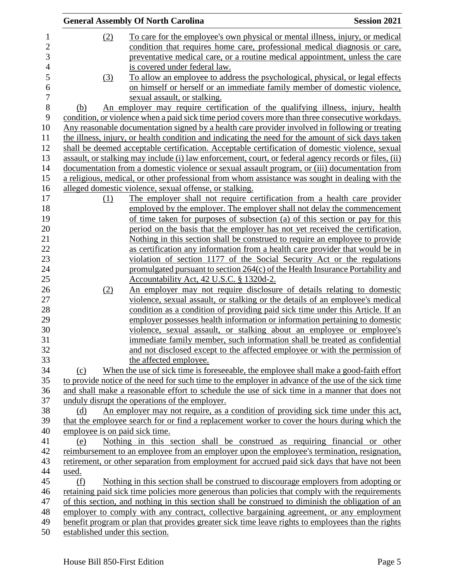|                |                                 | <b>General Assembly Of North Carolina</b>                                                                                                               | <b>Session 2021</b> |
|----------------|---------------------------------|---------------------------------------------------------------------------------------------------------------------------------------------------------|---------------------|
| $\mathbf{1}$   | (2)                             | To care for the employee's own physical or mental illness, injury, or medical                                                                           |                     |
| $\overline{2}$ |                                 | condition that requires home care, professional medical diagnosis or care,                                                                              |                     |
| 3              |                                 | preventative medical care, or a routine medical appointment, unless the care                                                                            |                     |
| $\overline{4}$ |                                 | is covered under federal law.                                                                                                                           |                     |
| 5              | (3)                             | To allow an employee to address the psychological, physical, or legal effects                                                                           |                     |
| 6              |                                 | on himself or herself or an immediate family member of domestic violence,                                                                               |                     |
| $\overline{7}$ |                                 | sexual assault, or stalking.                                                                                                                            |                     |
| $8\,$          | (b)                             | An employer may require certification of the qualifying illness, injury, health                                                                         |                     |
| 9              |                                 | condition, or violence when a paid sick time period covers more than three consecutive workdays.                                                        |                     |
| 10             |                                 | Any reasonable documentation signed by a health care provider involved in following or treating                                                         |                     |
| 11             |                                 | the illness, injury, or health condition and indicating the need for the amount of sick days taken                                                      |                     |
| 12             |                                 | shall be deemed acceptable certification. Acceptable certification of domestic violence, sexual                                                         |                     |
| 13             |                                 | assault, or stalking may include (i) law enforcement, court, or federal agency records or files, (ii)                                                   |                     |
| 14             |                                 | documentation from a domestic violence or sexual assault program, or (iii) documentation from                                                           |                     |
| 15             |                                 | a religious, medical, or other professional from whom assistance was sought in dealing with the                                                         |                     |
| 16             |                                 | alleged domestic violence, sexual offense, or stalking.                                                                                                 |                     |
| 17             | (1)                             | The employer shall not require certification from a health care provider                                                                                |                     |
| 18             |                                 | employed by the employer. The employer shall not delay the commencement                                                                                 |                     |
| 19             |                                 | of time taken for purposes of subsection (a) of this section or pay for this                                                                            |                     |
| 20             |                                 | period on the basis that the employer has not yet received the certification.                                                                           |                     |
| 21             |                                 | Nothing in this section shall be construed to require an employee to provide                                                                            |                     |
| 22             |                                 | as certification any information from a health care provider that would be in                                                                           |                     |
| 23             |                                 | violation of section 1177 of the Social Security Act or the regulations                                                                                 |                     |
| 24             |                                 |                                                                                                                                                         |                     |
| 25             |                                 | promulgated pursuant to section 264(c) of the Health Insurance Portability and                                                                          |                     |
| 26             |                                 | Accountability Act, 42 U.S.C. § 1320d-2.                                                                                                                |                     |
| 27             | (2)                             | An employer may not require disclosure of details relating to domestic<br>violence, sexual assault, or stalking or the details of an employee's medical |                     |
| 28             |                                 | condition as a condition of providing paid sick time under this Article. If an                                                                          |                     |
| 29             |                                 | employer possesses health information or information pertaining to domestic                                                                             |                     |
| 30             |                                 | violence, sexual assault, or stalking about an employee or employee's                                                                                   |                     |
| 31             |                                 | immediate family member, such information shall be treated as confidential                                                                              |                     |
| 32             |                                 | and not disclosed except to the affected employee or with the permission of                                                                             |                     |
| 33             |                                 | the affected employee.                                                                                                                                  |                     |
| 34             | (c)                             | When the use of sick time is foreseeable, the employee shall make a good-faith effort                                                                   |                     |
| 35             |                                 | to provide notice of the need for such time to the employer in advance of the use of the sick time                                                      |                     |
| 36             |                                 | and shall make a reasonable effort to schedule the use of sick time in a manner that does not                                                           |                     |
| 37             |                                 | unduly disrupt the operations of the employer.                                                                                                          |                     |
| 38             | (d)                             | An employer may not require, as a condition of providing sick time under this act,                                                                      |                     |
| 39             |                                 | that the employee search for or find a replacement worker to cover the hours during which the                                                           |                     |
| 40             | employee is on paid sick time.  |                                                                                                                                                         |                     |
| 41             | (e)                             | Nothing in this section shall be construed as requiring financial or other                                                                              |                     |
| 42             |                                 | reimbursement to an employee from an employer upon the employee's termination, resignation,                                                             |                     |
| 43             |                                 | retirement, or other separation from employment for accrued paid sick days that have not been                                                           |                     |
| 44             | used.                           |                                                                                                                                                         |                     |
| 45             | (f)                             | Nothing in this section shall be construed to discourage employers from adopting or                                                                     |                     |
| 46             |                                 | retaining paid sick time policies more generous than policies that comply with the requirements                                                         |                     |
| 47             |                                 | of this section, and nothing in this section shall be construed to diminish the obligation of an                                                        |                     |
| 48             |                                 | employer to comply with any contract, collective bargaining agreement, or any employment                                                                |                     |
| 49             |                                 | benefit program or plan that provides greater sick time leave rights to employees than the rights                                                       |                     |
| 50             | established under this section. |                                                                                                                                                         |                     |
|                |                                 |                                                                                                                                                         |                     |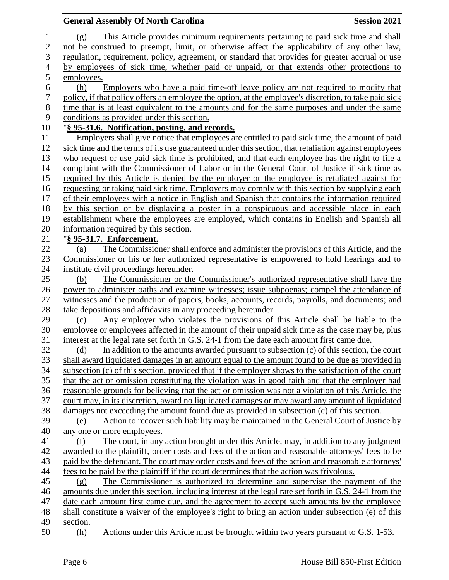|                | <b>General Assembly Of North Carolina</b>                                                                                                                                                    | <b>Session 2021</b> |
|----------------|----------------------------------------------------------------------------------------------------------------------------------------------------------------------------------------------|---------------------|
| $\mathbf{1}$   | This Article provides minimum requirements pertaining to paid sick time and shall<br>(g)                                                                                                     |                     |
| $\overline{2}$ | not be construed to preempt, limit, or otherwise affect the applicability of any other law,                                                                                                  |                     |
| 3              | regulation, requirement, policy, agreement, or standard that provides for greater accrual or use                                                                                             |                     |
| $\overline{4}$ | by employees of sick time, whether paid or unpaid, or that extends other protections to                                                                                                      |                     |
|                | employees.                                                                                                                                                                                   |                     |
|                | Employers who have a paid time-off leave policy are not required to modify that<br>(h)                                                                                                       |                     |
|                | policy, if that policy offers an employee the option, at the employee's discretion, to take paid sick                                                                                        |                     |
|                | time that is at least equivalent to the amounts and for the same purposes and under the same                                                                                                 |                     |
|                | conditions as provided under this section.                                                                                                                                                   |                     |
|                | "§ 95-31.6. Notification, posting, and records.                                                                                                                                              |                     |
|                | Employers shall give notice that employees are entitled to paid sick time, the amount of paid                                                                                                |                     |
|                | sick time and the terms of its use guaranteed under this section, that retaliation against employees                                                                                         |                     |
|                | who request or use paid sick time is prohibited, and that each employee has the right to file a                                                                                              |                     |
|                | complaint with the Commissioner of Labor or in the General Court of Justice if sick time as                                                                                                  |                     |
|                | required by this Article is denied by the employer or the employee is retaliated against for                                                                                                 |                     |
|                | requesting or taking paid sick time. Employers may comply with this section by supplying each                                                                                                |                     |
|                | of their employees with a notice in English and Spanish that contains the information required                                                                                               |                     |
|                | by this section or by displaying a poster in a conspicuous and accessible place in each                                                                                                      |                     |
|                | establishment where the employees are employed, which contains in English and Spanish all                                                                                                    |                     |
|                | information required by this section.                                                                                                                                                        |                     |
|                | "§ 95-31.7. Enforcement.                                                                                                                                                                     |                     |
|                | The Commissioner shall enforce and administer the provisions of this Article, and the<br>(a)                                                                                                 |                     |
|                | Commissioner or his or her authorized representative is empowered to hold hearings and to                                                                                                    |                     |
|                | institute civil proceedings hereunder.                                                                                                                                                       |                     |
|                | The Commissioner or the Commissioner's authorized representative shall have the<br>(b)                                                                                                       |                     |
|                | power to administer oaths and examine witnesses; issue subpoenas; compel the attendance of                                                                                                   |                     |
|                | witnesses and the production of papers, books, accounts, records, payrolls, and documents; and                                                                                               |                     |
|                | take depositions and affidavits in any proceeding hereunder.                                                                                                                                 |                     |
|                | Any employer who violates the provisions of this Article shall be liable to the<br>(c)                                                                                                       |                     |
|                | employee or employees affected in the amount of their unpaid sick time as the case may be, plus                                                                                              |                     |
|                | interest at the legal rate set forth in G.S. 24-1 from the date each amount first came due.                                                                                                  |                     |
|                | In addition to the amounts awarded pursuant to subsection $(c)$ of this section, the court<br>(d)                                                                                            |                     |
|                | shall award liquidated damages in an amount equal to the amount found to be due as provided in                                                                                               |                     |
|                | subsection (c) of this section, provided that if the employer shows to the satisfaction of the court                                                                                         |                     |
|                | that the act or omission constituting the violation was in good faith and that the employer had                                                                                              |                     |
|                | reasonable grounds for believing that the act or omission was not a violation of this Article, the                                                                                           |                     |
|                | court may, in its discretion, award no liquidated damages or may award any amount of liquidated                                                                                              |                     |
|                | damages not exceeding the amount found due as provided in subsection (c) of this section.                                                                                                    |                     |
|                | Action to recover such liability may be maintained in the General Court of Justice by<br>(e)                                                                                                 |                     |
|                | any one or more employees.                                                                                                                                                                   |                     |
|                | The court, in any action brought under this Article, may, in addition to any judgment<br>(f)                                                                                                 |                     |
|                | awarded to the plaintiff, order costs and fees of the action and reasonable attorneys' fees to be                                                                                            |                     |
|                | paid by the defendant. The court may order costs and fees of the action and reasonable attorneys'<br>fees to be paid by the plaintiff if the court determines that the action was frivolous. |                     |
|                | The Commissioner is authorized to determine and supervise the payment of the                                                                                                                 |                     |
|                | (g)<br>amounts due under this section, including interest at the legal rate set forth in G.S. 24-1 from the                                                                                  |                     |
|                | date each amount first came due, and the agreement to accept such amounts by the employee                                                                                                    |                     |
|                | shall constitute a waiver of the employee's right to bring an action under subsection (e) of this                                                                                            |                     |
|                | section.                                                                                                                                                                                     |                     |
|                | Actions under this Article must be brought within two years pursuant to G.S. 1-53.<br>(h)                                                                                                    |                     |
|                |                                                                                                                                                                                              |                     |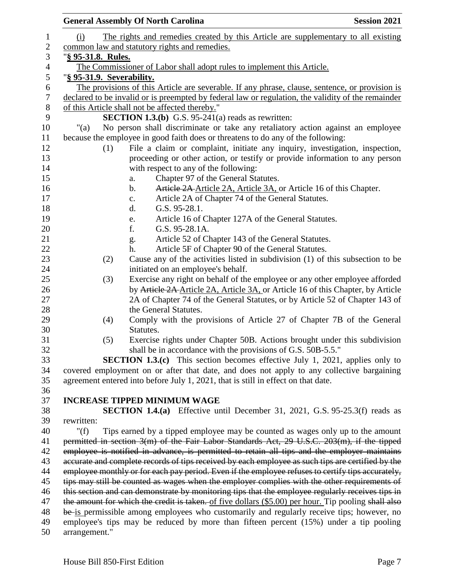|                           | <b>General Assembly Of North Carolina</b>                                                           | <b>Session 2021</b> |
|---------------------------|-----------------------------------------------------------------------------------------------------|---------------------|
| (i)                       | The rights and remedies created by this Article are supplementary to all existing                   |                     |
|                           | common law and statutory rights and remedies.                                                       |                     |
| "§ 95-31.8. Rules.        |                                                                                                     |                     |
|                           | The Commissioner of Labor shall adopt rules to implement this Article.                              |                     |
| "§ 95-31.9. Severability. |                                                                                                     |                     |
|                           | The provisions of this Article are severable. If any phrase, clause, sentence, or provision is      |                     |
|                           | declared to be invalid or is preempted by federal law or regulation, the validity of the remainder  |                     |
|                           | of this Article shall not be affected thereby."                                                     |                     |
|                           | <b>SECTION 1.3.(b)</b> G.S. 95-241(a) reads as rewritten:                                           |                     |
| " $(a)$                   | No person shall discriminate or take any retaliatory action against an employee                     |                     |
|                           | because the employee in good faith does or threatens to do any of the following:                    |                     |
| (1)                       | File a claim or complaint, initiate any inquiry, investigation, inspection,                         |                     |
|                           | proceeding or other action, or testify or provide information to any person                         |                     |
|                           | with respect to any of the following:                                                               |                     |
|                           | Chapter 97 of the General Statutes.<br>a.                                                           |                     |
|                           | Article 2A Article 2A, Article 3A, or Article 16 of this Chapter.<br>b.                             |                     |
|                           | Article 2A of Chapter 74 of the General Statutes.<br>$\mathbf{c}$ .                                 |                     |
|                           | d.<br>$G.S. 95-28.1.$                                                                               |                     |
|                           | Article 16 of Chapter 127A of the General Statutes.<br>e.                                           |                     |
|                           | f.<br>G.S. 95-28.1A.                                                                                |                     |
|                           | Article 52 of Chapter 143 of the General Statutes.<br>g.                                            |                     |
|                           | Article 5F of Chapter 90 of the General Statutes.<br>h.                                             |                     |
| (2)                       | Cause any of the activities listed in subdivision (1) of this subsection to be                      |                     |
|                           | initiated on an employee's behalf.                                                                  |                     |
| (3)                       | Exercise any right on behalf of the employee or any other employee afforded                         |                     |
|                           | by Article 2A Article 2A, Article 3A, or Article 16 of this Chapter, by Article                     |                     |
|                           | 2A of Chapter 74 of the General Statutes, or by Article 52 of Chapter 143 of                        |                     |
|                           | the General Statutes.                                                                               |                     |
| (4)                       | Comply with the provisions of Article 27 of Chapter 7B of the General                               |                     |
|                           | Statutes.                                                                                           |                     |
| (5)                       | Exercise rights under Chapter 50B. Actions brought under this subdivision                           |                     |
|                           | shall be in accordance with the provisions of G.S. 50B-5.5."                                        |                     |
|                           | <b>SECTION 1.3.(c)</b> This section becomes effective July 1, 2021, applies only to                 |                     |
|                           | covered employment on or after that date, and does not apply to any collective bargaining           |                     |
|                           | agreement entered into before July 1, 2021, that is still in effect on that date.                   |                     |
|                           |                                                                                                     |                     |
|                           | <b>INCREASE TIPPED MINIMUM WAGE</b>                                                                 |                     |
|                           | <b>SECTION 1.4.(a)</b> Effective until December 31, 2021, G.S. $95-25.3(f)$ reads as                |                     |
| rewritten:                |                                                                                                     |                     |
| " $(f)$                   | Tips earned by a tipped employee may be counted as wages only up to the amount                      |                     |
|                           | permitted in section 3(m) of the Fair Labor Standards Act, 29 U.S.C. 203(m), if the tipped          |                     |
|                           | employee is notified in advance, is permitted to retain all tips and the employer maintains         |                     |
|                           | accurate and complete records of tips received by each employee as such tips are certified by the   |                     |
|                           | employee monthly or for each pay period. Even if the employee refuses to certify tips accurately,   |                     |
|                           | tips may still be counted as wages when the employer complies with the other requirements of        |                     |
|                           | this section and can demonstrate by monitoring tips that the employee regularly receives tips in    |                     |
|                           | the amount for which the credit is taken. of five dollars (\$5.00) per hour. Tip pooling shall also |                     |
|                           | be is permissible among employees who customarily and regularly receive tips; however, no           |                     |
|                           | employee's tips may be reduced by more than fifteen percent (15%) under a tip pooling               |                     |
| arrangement."             |                                                                                                     |                     |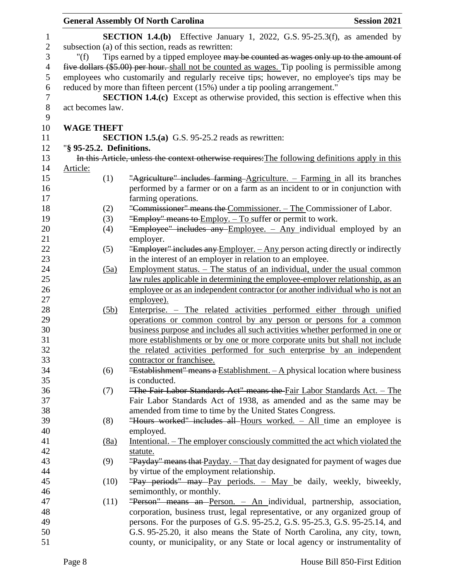|                |                          |            | <b>General Assembly Of North Carolina</b>                                                       | <b>Session 2021</b> |
|----------------|--------------------------|------------|-------------------------------------------------------------------------------------------------|---------------------|
| $\mathbf{1}$   |                          |            | <b>SECTION 1.4.(b)</b> Effective January 1, 2022, G.S. $95-25.3(f)$ , as amended by             |                     |
| $\sqrt{2}$     |                          |            | subsection (a) of this section, reads as rewritten:                                             |                     |
| 3              | " $(f)$                  |            | Tips earned by a tipped employee may be counted as wages only up to the amount of               |                     |
| $\overline{4}$ |                          |            | five dollars (\$5.00) per hour. shall not be counted as wages. Tip pooling is permissible among |                     |
| 5              |                          |            | employees who customarily and regularly receive tips; however, no employee's tips may be        |                     |
| 6              |                          |            | reduced by more than fifteen percent (15%) under a tip pooling arrangement."                    |                     |
| $\tau$         |                          |            | <b>SECTION 1.4.(c)</b> Except as otherwise provided, this section is effective when this        |                     |
| $\,8\,$        | act becomes law.         |            |                                                                                                 |                     |
| 9              |                          |            |                                                                                                 |                     |
| 10             | <b>WAGE THEFT</b>        |            |                                                                                                 |                     |
| 11             |                          |            | <b>SECTION 1.5.(a)</b> G.S. 95-25.2 reads as rewritten:                                         |                     |
| 12             | "§ 95-25.2. Definitions. |            |                                                                                                 |                     |
| 13             |                          |            | In this Article, unless the context otherwise requires: The following definitions apply in this |                     |
| 14             | Article:                 |            |                                                                                                 |                     |
| 15             |                          | (1)        | "Agriculture" includes farming-Agriculture. – Farming in all its branches                       |                     |
| 16             |                          |            | performed by a farmer or on a farm as an incident to or in conjunction with                     |                     |
| 17<br>18       |                          |            | farming operations.<br>"Commissioner" means the Commissioner. - The Commissioner of Labor.      |                     |
| 19             |                          | (2)<br>(3) | "Employ" means to Employ. - To suffer or permit to work.                                        |                     |
| 20             |                          | (4)        | "Employee" includes any Employee. - Any individual employed by an                               |                     |
| 21             |                          |            | employer.                                                                                       |                     |
| 22             |                          | (5)        | "Employer" includes any Employer. - Any person acting directly or indirectly                    |                     |
| 23             |                          |            | in the interest of an employer in relation to an employee.                                      |                     |
| 24             |                          | (5a)       | Employment status. $-$ The status of an individual, under the usual common                      |                     |
| 25             |                          |            | law rules applicable in determining the employee-employer relationship, as an                   |                     |
| 26             |                          |            | employee or as an independent contractor (or another individual who is not an                   |                     |
| 27             |                          |            | employee).                                                                                      |                     |
| 28             |                          | (5b)       | <u>Enterprise. – The related activities performed either through unified</u>                    |                     |
| 29             |                          |            | operations or common control by any person or persons for a common                              |                     |
| 30             |                          |            | business purpose and includes all such activities whether performed in one or                   |                     |
| 31             |                          |            | more establishments or by one or more corporate units but shall not include                     |                     |
| 32             |                          |            | the related activities performed for such enterprise by an independent                          |                     |
| 33             |                          |            | contractor or franchisee.                                                                       |                     |
| 34             |                          | (6)        | "Establishment" means a Establishment. $-$ A physical location where business                   |                     |
| 35             |                          |            | is conducted.                                                                                   |                     |
| 36             |                          | (7)        | "The Fair Labor Standards Act" means the Fair Labor Standards Act. - The                        |                     |
| 37             |                          |            | Fair Labor Standards Act of 1938, as amended and as the same may be                             |                     |
| 38             |                          |            | amended from time to time by the United States Congress.                                        |                     |
| 39             |                          | (8)        | "Hours worked" includes all Hours worked. - All time an employee is                             |                     |
| 40<br>41       |                          |            | employed.<br>Intentional. – The employer consciously committed the act which violated the       |                     |
| 42             |                          | (8a)       | statute.                                                                                        |                     |
| 43             |                          | (9)        | "Payday" means that Payday. - That day designated for payment of wages due                      |                     |
| 44             |                          |            | by virtue of the employment relationship.                                                       |                     |
| 45             |                          | (10)       | "Pay periods" may Pay periods. - May be daily, weekly, biweekly,                                |                     |
| 46             |                          |            | semimonthly, or monthly.                                                                        |                     |
| 47             |                          | (11)       | "Person" means an Person. - An individual, partnership, association,                            |                     |
| 48             |                          |            | corporation, business trust, legal representative, or any organized group of                    |                     |
| 49             |                          |            | persons. For the purposes of G.S. 95-25.2, G.S. 95-25.3, G.S. 95-25.14, and                     |                     |
| 50             |                          |            | G.S. 95-25.20, it also means the State of North Carolina, any city, town,                       |                     |
| 51             |                          |            | county, or municipality, or any State or local agency or instrumentality of                     |                     |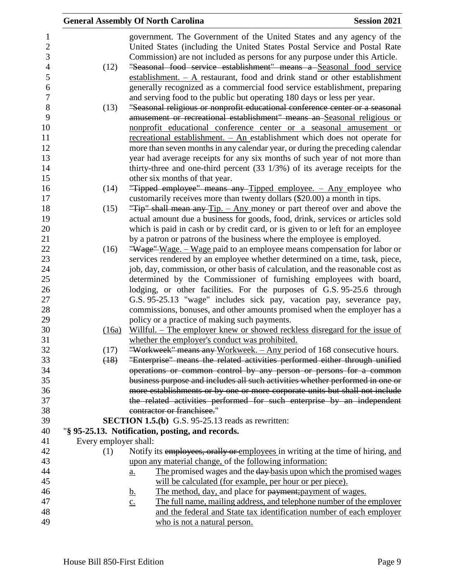|                                     |                              | <b>General Assembly Of North Carolina</b>                                                                                                                                                                                         | <b>Session 2021</b> |
|-------------------------------------|------------------------------|-----------------------------------------------------------------------------------------------------------------------------------------------------------------------------------------------------------------------------------|---------------------|
| $\mathbf{1}$<br>$\overline{2}$<br>3 |                              | government. The Government of the United States and any agency of the<br>United States (including the United States Postal Service and Postal Rate<br>Commission) are not included as persons for any purpose under this Article. |                     |
| $\overline{4}$<br>5<br>6            | (12)                         | "Seasonal food service establishment" means a Seasonal food service<br>establishment. $- A$ restaurant, food and drink stand or other establishment<br>generally recognized as a commercial food service establishment, preparing |                     |
| $\overline{7}$                      |                              | and serving food to the public but operating 180 days or less per year.                                                                                                                                                           |                     |
| 8                                   | (13)                         | "Seasonal religious or nonprofit educational conference center or a seasonal                                                                                                                                                      |                     |
| 9                                   |                              | amusement or recreational establishment" means an Seasonal religious or                                                                                                                                                           |                     |
| 10                                  |                              | nonprofit educational conference center or a seasonal amusement or                                                                                                                                                                |                     |
| 11                                  |                              | recreational establishment. - An establishment which does not operate for                                                                                                                                                         |                     |
| 12                                  |                              | more than seven months in any calendar year, or during the preceding calendar                                                                                                                                                     |                     |
| 13                                  |                              | year had average receipts for any six months of such year of not more than                                                                                                                                                        |                     |
| 14                                  |                              | thirty-three and one-third percent $(33 \frac{1}{3})$ of its average receipts for the                                                                                                                                             |                     |
| 15                                  |                              | other six months of that year.                                                                                                                                                                                                    |                     |
| 16<br>17                            | (14)                         | "Tipped employee" means any Tipped employee. - Any employee who<br>customarily receives more than twenty dollars (\$20.00) a month in tips.                                                                                       |                     |
| 18                                  | (15)                         | "Tip" shall mean any $Tip. - Any$ money or part thereof over and above the                                                                                                                                                        |                     |
| 19                                  |                              | actual amount due a business for goods, food, drink, services or articles sold                                                                                                                                                    |                     |
| 20                                  |                              | which is paid in cash or by credit card, or is given to or left for an employee                                                                                                                                                   |                     |
| 21                                  |                              | by a patron or patrons of the business where the employee is employed.                                                                                                                                                            |                     |
| 22                                  | (16)                         | "Wage" Wage. – Wage paid to an employee means compensation for labor or                                                                                                                                                           |                     |
| 23                                  |                              | services rendered by an employee whether determined on a time, task, piece,                                                                                                                                                       |                     |
| 24                                  |                              | job, day, commission, or other basis of calculation, and the reasonable cost as                                                                                                                                                   |                     |
| 25                                  |                              | determined by the Commissioner of furnishing employees with board,                                                                                                                                                                |                     |
| 26                                  |                              | lodging, or other facilities. For the purposes of G.S. 95-25.6 through                                                                                                                                                            |                     |
| 27                                  |                              | G.S. 95-25.13 "wage" includes sick pay, vacation pay, severance pay,                                                                                                                                                              |                     |
| 28                                  |                              | commissions, bonuses, and other amounts promised when the employer has a                                                                                                                                                          |                     |
| 29                                  |                              | policy or a practice of making such payments.                                                                                                                                                                                     |                     |
| 30                                  | (16a)                        | Willful. – The employer knew or showed reckless disregard for the issue of                                                                                                                                                        |                     |
| 31                                  |                              | whether the employer's conduct was prohibited.                                                                                                                                                                                    |                     |
| 32                                  | (17)                         | "Workweek" means any Workweek. – Any period of 168 consecutive hours.                                                                                                                                                             |                     |
| 33                                  | (18)                         | "Enterprise" means the related activities performed either through unified                                                                                                                                                        |                     |
| 34                                  |                              | operations or common control by any person or persons for a common                                                                                                                                                                |                     |
| 35                                  |                              | business purpose and includes all such activities whether performed in one or                                                                                                                                                     |                     |
| 36                                  |                              | more establishments or by one or more corporate units but shall not include                                                                                                                                                       |                     |
| 37                                  |                              | the related activities performed for such enterprise by an independent                                                                                                                                                            |                     |
| 38                                  |                              | contractor or franchisee."                                                                                                                                                                                                        |                     |
| 39                                  |                              | <b>SECTION 1.5.(b)</b> G.S. $95-25.13$ reads as rewritten:                                                                                                                                                                        |                     |
| 40                                  |                              | "§ 95-25.13. Notification, posting, and records.                                                                                                                                                                                  |                     |
| 41<br>42                            | Every employer shall:<br>(1) | Notify its employees, orally or employees in writing at the time of hiring, and                                                                                                                                                   |                     |
| 43                                  |                              | upon any material change, of the following information:                                                                                                                                                                           |                     |
| 44                                  |                              | The promised wages and the day basis upon which the promised wages<br>$\underline{a}$ .                                                                                                                                           |                     |
| 45                                  |                              | will be calculated (for example, per hour or per piece).                                                                                                                                                                          |                     |
| 46                                  |                              | The method, day, and place for payment; payment of wages.<br><u>b.</u>                                                                                                                                                            |                     |
| 47                                  |                              | The full name, mailing address, and telephone number of the employer<br>$\underline{c}$ .                                                                                                                                         |                     |
| 48                                  |                              | and the federal and State tax identification number of each employer                                                                                                                                                              |                     |
| 49                                  |                              | who is not a natural person.                                                                                                                                                                                                      |                     |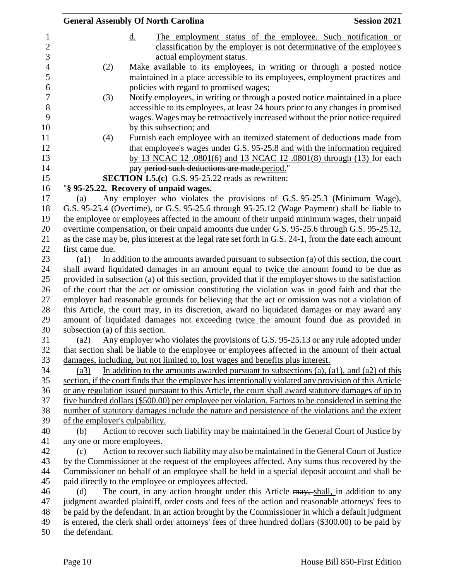|                                 | <b>General Assembly Of North Carolina</b>                                                              | <b>Session 2021</b> |
|---------------------------------|--------------------------------------------------------------------------------------------------------|---------------------|
|                                 | The employment status of the employee. Such notification or<br><u>d.</u>                               |                     |
|                                 | classification by the employer is not determinative of the employee's                                  |                     |
|                                 | actual employment status.                                                                              |                     |
| (2)                             | Make available to its employees, in writing or through a posted notice                                 |                     |
|                                 | maintained in a place accessible to its employees, employment practices and                            |                     |
|                                 | policies with regard to promised wages;                                                                |                     |
| (3)                             | Notify employees, in writing or through a posted notice maintained in a place                          |                     |
|                                 | accessible to its employees, at least 24 hours prior to any changes in promised                        |                     |
|                                 | wages. Wages may be retroactively increased without the prior notice required                          |                     |
|                                 | by this subsection; and                                                                                |                     |
| (4)                             | Furnish each employee with an itemized statement of deductions made from                               |                     |
|                                 | that employee's wages under G.S. 95-25.8 and with the information required                             |                     |
|                                 | by 13 NCAC 12 .0801(6) and 13 NCAC 12 .0801(8) through (13) for each                                   |                     |
|                                 | pay period such deductions are made period."                                                           |                     |
|                                 | <b>SECTION 1.5.(c)</b> G.S. 95-25.22 reads as rewritten:                                               |                     |
|                                 | "§ 95-25.22. Recovery of unpaid wages.                                                                 |                     |
| (a)                             | Any employer who violates the provisions of G.S. 95-25.3 (Minimum Wage),                               |                     |
|                                 | G.S. 95-25.4 (Overtime), or G.S. 95-25.6 through 95-25.12 (Wage Payment) shall be liable to            |                     |
|                                 | the employee or employees affected in the amount of their unpaid minimum wages, their unpaid           |                     |
|                                 | overtime compensation, or their unpaid amounts due under G.S. 95-25.6 through G.S. 95-25.12,           |                     |
|                                 | as the case may be, plus interest at the legal rate set forth in G.S. 24-1, from the date each amount  |                     |
| first came due.                 |                                                                                                        |                     |
| $\left( a1\right)$              | In addition to the amounts awarded pursuant to subsection (a) of this section, the court               |                     |
|                                 | shall award liquidated damages in an amount equal to twice the amount found to be due as               |                     |
|                                 | provided in subsection (a) of this section, provided that if the employer shows to the satisfaction    |                     |
|                                 | of the court that the act or omission constituting the violation was in good faith and that the        |                     |
|                                 | employer had reasonable grounds for believing that the act or omission was not a violation of          |                     |
|                                 | this Article, the court may, in its discretion, award no liquidated damages or may award any           |                     |
|                                 | amount of liquidated damages not exceeding twice the amount found due as provided in                   |                     |
| subsection (a) of this section. |                                                                                                        |                     |
| (a2)                            | Any employer who violates the provisions of G.S. 95-25.13 or any rule adopted under                    |                     |
|                                 | that section shall be liable to the employee or employees affected in the amount of their actual       |                     |
|                                 | damages, including, but not limited to, lost wages and benefits plus interest.                         |                     |
| (a3)                            | In addition to the amounts awarded pursuant to subsections $(a)$ , $(a1)$ , and $(a2)$ of this         |                     |
|                                 | section, if the court finds that the employer has intentionally violated any provision of this Article |                     |
|                                 | or any regulation issued pursuant to this Article, the court shall award statutory damages of up to    |                     |
|                                 | five hundred dollars (\$500.00) per employee per violation. Factors to be considered in setting the    |                     |
|                                 | number of statutory damages include the nature and persistence of the violations and the extent        |                     |
| of the employer's culpability.  |                                                                                                        |                     |
| (b)                             | Action to recover such liability may be maintained in the General Court of Justice by                  |                     |
| any one or more employees.      |                                                                                                        |                     |
| (c)                             | Action to recover such liability may also be maintained in the General Court of Justice                |                     |
|                                 | by the Commissioner at the request of the employees affected. Any sums thus recovered by the           |                     |
|                                 | Commissioner on behalf of an employee shall be held in a special deposit account and shall be          |                     |
|                                 | paid directly to the employee or employees affected.                                                   |                     |
| (d)                             | The court, in any action brought under this Article may, shall, in addition to any                     |                     |
|                                 | judgment awarded plaintiff, order costs and fees of the action and reasonable attorneys' fees to       |                     |
|                                 | be paid by the defendant. In an action brought by the Commissioner in which a default judgment         |                     |
|                                 | is entered, the clerk shall order attorneys' fees of three hundred dollars (\$300.00) to be paid by    |                     |
| the defendant.                  |                                                                                                        |                     |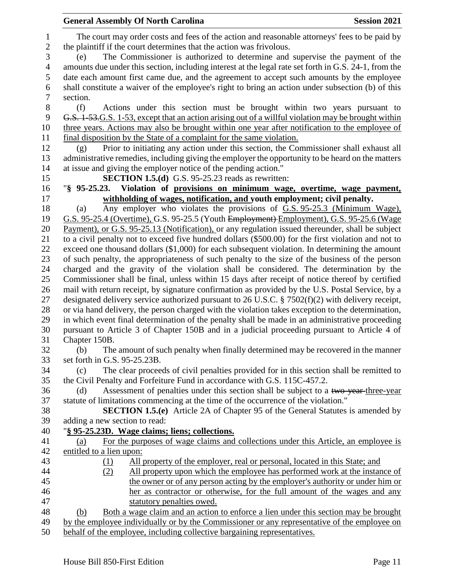|                  | <b>Session 2021</b><br><b>General Assembly Of North Carolina</b>                                      |
|------------------|-------------------------------------------------------------------------------------------------------|
| $\mathbf{1}$     | The court may order costs and fees of the action and reasonable attorneys' fees to be paid by         |
| $\overline{c}$   | the plaintiff if the court determines that the action was frivolous.                                  |
| 3                | The Commissioner is authorized to determine and supervise the payment of the<br>(e)                   |
| $\overline{4}$   | amounts due under this section, including interest at the legal rate set forth in G.S. 24-1, from the |
| 5                | date each amount first came due, and the agreement to accept such amounts by the employee             |
| 6                | shall constitute a waiver of the employee's right to bring an action under subsection (b) of this     |
| $\boldsymbol{7}$ | section.                                                                                              |
| 8                | (f)<br>Actions under this section must be brought within two years pursuant to                        |
| 9                |                                                                                                       |
|                  | G.S. 1-53. G.S. 1-53, except that an action arising out of a willful violation may be brought within  |
| 10               | three years. Actions may also be brought within one year after notification to the employee of        |
| 11               | final disposition by the State of a complaint for the same violation.                                 |
| 12               | Prior to initiating any action under this section, the Commissioner shall exhaust all<br>(g)          |
| 13               | administrative remedies, including giving the employer the opportunity to be heard on the matters     |
| 14               | at issue and giving the employer notice of the pending action."                                       |
| 15               | SECTION 1.5.(d) G.S. 95-25.23 reads as rewritten:                                                     |
| 16               | $\frac{1}{2}$ 95-25.23.<br>Violation of provisions on minimum wage, overtime, wage payment,           |
| 17               | withholding of wages, notification, and youth employment; civil penalty.                              |
| 18               | Any employer who violates the provisions of G.S. 95-25.3 (Minimum Wage),<br>(a)                       |
| 19               | G.S. 95-25.4 (Overtime), G.S. 95-25.5 (Youth Employment) Employment), G.S. 95-25.6 (Wage              |
| 20               | Payment), or G.S. 95-25.13 (Notification), or any regulation issued thereunder, shall be subject      |
| 21               | to a civil penalty not to exceed five hundred dollars (\$500.00) for the first violation and not to   |
| 22               | exceed one thousand dollars $(\$1,000)$ for each subsequent violation. In determining the amount      |
| 23               | of such penalty, the appropriateness of such penalty to the size of the business of the person        |
| 24               | charged and the gravity of the violation shall be considered. The determination by the                |
| 25               | Commissioner shall be final, unless within 15 days after receipt of notice thereof by certified       |
| 26               | mail with return receipt, by signature confirmation as provided by the U.S. Postal Service, by a      |
| 27               | designated delivery service authorized pursuant to 26 U.S.C. $\S$ 7502(f)(2) with delivery receipt,   |
| 28               | or via hand delivery, the person charged with the violation takes exception to the determination,     |
| 29               | in which event final determination of the penalty shall be made in an administrative proceeding       |
| 30               | pursuant to Article 3 of Chapter 150B and in a judicial proceeding pursuant to Article 4 of           |
| 31               | Chapter 150B.                                                                                         |
| 32               | The amount of such penalty when finally determined may be recovered in the manner<br>(b)              |
| 33               | set forth in G.S. 95-25.23B.                                                                          |
| 34               | The clear proceeds of civil penalties provided for in this section shall be remitted to<br>(c)        |
| 35               | the Civil Penalty and Forfeiture Fund in accordance with G.S. 115C-457.2.                             |
| 36               | Assessment of penalties under this section shall be subject to a two-year-three-year<br>(d)           |
| 37               | statute of limitations commencing at the time of the occurrence of the violation."                    |
| $38\,$           | <b>SECTION 1.5.(e)</b> Article 2A of Chapter 95 of the General Statutes is amended by                 |
| 39               | adding a new section to read:                                                                         |
| 40               | "§ 95-25.23D. Wage claims; liens; collections.                                                        |
| 41               | For the purposes of wage claims and collections under this Article, an employee is<br>(a)             |
| 42               | entitled to a lien upon:                                                                              |
| 43               | All property of the employer, real or personal, located in this State; and<br><u>(1)</u>              |
| 44               | All property upon which the employee has performed work at the instance of<br>(2)                     |
| 45               | the owner or of any person acting by the employer's authority or under him or                         |
| 46               | her as contractor or otherwise, for the full amount of the wages and any                              |
| 47               | statutory penalties owed.                                                                             |
| 48               | Both a wage claim and an action to enforce a lien under this section may be brought<br>(b)            |
| 49               | by the employee individually or by the Commissioner or any representative of the employee on          |
| 50               | behalf of the employee, including collective bargaining representatives.                              |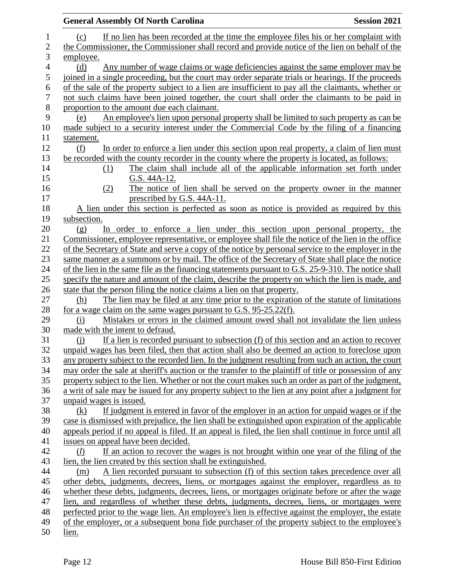|                | <b>General Assembly Of North Carolina</b><br><b>Session 2021</b>                                                                                                                               |
|----------------|------------------------------------------------------------------------------------------------------------------------------------------------------------------------------------------------|
| $\mathbf{1}$   | If no lien has been recorded at the time the employee files his or her complaint with<br>(c)                                                                                                   |
| $\overline{c}$ | the Commissioner, the Commissioner shall record and provide notice of the lien on behalf of the                                                                                                |
| 3              | employee.                                                                                                                                                                                      |
| 4              | Any number of wage claims or wage deficiencies against the same employer may be<br>(d)                                                                                                         |
| 5              | joined in a single proceeding, but the court may order separate trials or hearings. If the proceeds                                                                                            |
|                | of the sale of the property subject to a lien are insufficient to pay all the claimants, whether or                                                                                            |
|                | not such claims have been joined together, the court shall order the claimants to be paid in                                                                                                   |
|                | proportion to the amount due each claimant.                                                                                                                                                    |
|                | An employee's lien upon personal property shall be limited to such property as can be<br>(e)                                                                                                   |
|                | made subject to a security interest under the Commercial Code by the filing of a financing                                                                                                     |
|                | statement.                                                                                                                                                                                     |
|                | In order to enforce a lien under this section upon real property, a claim of lien must<br>(f)                                                                                                  |
|                | be recorded with the county recorder in the county where the property is located, as follows:                                                                                                  |
|                | The claim shall include all of the applicable information set forth under<br>(1)                                                                                                               |
|                | G.S. 44A-12.                                                                                                                                                                                   |
|                | The notice of lien shall be served on the property owner in the manner<br>(2)                                                                                                                  |
|                | prescribed by G.S. 44A-11.                                                                                                                                                                     |
|                | A lien under this section is perfected as soon as notice is provided as required by this                                                                                                       |
|                | subsection.                                                                                                                                                                                    |
|                | In order to enforce a lien under this section upon personal property, the<br>(g)                                                                                                               |
|                | Commissioner, employee representative, or employee shall file the notice of the lien in the office                                                                                             |
|                | of the Secretary of State and serve a copy of the notice by personal service to the employer in the                                                                                            |
|                | same manner as a summons or by mail. The office of the Secretary of State shall place the notice                                                                                               |
|                | of the lien in the same file as the financing statements pursuant to G.S. 25-9-310. The notice shall                                                                                           |
|                | specify the nature and amount of the claim, describe the property on which the lien is made, and                                                                                               |
|                | state that the person filing the notice claims a lien on that property.                                                                                                                        |
|                | The lien may be filed at any time prior to the expiration of the statute of limitations<br>(h)                                                                                                 |
|                | for a wage claim on the same wages pursuant to G.S. 95-25.22(f).                                                                                                                               |
|                | Mistakes or errors in the claimed amount owed shall not invalidate the lien unless<br>(i)                                                                                                      |
|                | made with the intent to defraud.                                                                                                                                                               |
|                | If a lien is recorded pursuant to subsection $(f)$ of this section and an action to recover<br>$\Omega$                                                                                        |
|                | unpaid wages has been filed, then that action shall also be deemed an action to foreclose upon                                                                                                 |
|                | any property subject to the recorded lien. In the judgment resulting from such an action, the court                                                                                            |
|                | may order the sale at sheriff's auction or the transfer to the plaintiff of title or possession of any                                                                                         |
|                | property subject to the lien. Whether or not the court makes such an order as part of the judgment,                                                                                            |
|                | a writ of sale may be issued for any property subject to the lien at any point after a judgment for                                                                                            |
|                | unpaid wages is issued.                                                                                                                                                                        |
|                | If judgment is entered in favor of the employer in an action for unpaid wages or if the<br>(k)                                                                                                 |
|                | case is dismissed with prejudice, the lien shall be extinguished upon expiration of the applicable                                                                                             |
|                | appeals period if no appeal is filed. If an appeal is filed, the lien shall continue in force until all                                                                                        |
|                | issues on appeal have been decided.                                                                                                                                                            |
|                | If an action to recover the wages is not brought within one year of the filing of the<br>(l)                                                                                                   |
|                | lien, the lien created by this section shall be extinguished.                                                                                                                                  |
|                | A lien recorded pursuant to subsection (f) of this section takes precedence over all<br>(m)                                                                                                    |
|                | other debts, judgments, decrees, liens, or mortgages against the employer, regardless as to<br>whether these debts, judgments, decrees, liens, or mortgages originate before or after the wage |
|                | lien, and regardless of whether these debts, judgments, decrees, liens, or mortgages were                                                                                                      |
|                | perfected prior to the wage lien. An employee's lien is effective against the employer, the estate                                                                                             |
|                | of the employer, or a subsequent bona fide purchaser of the property subject to the employee's                                                                                                 |
|                | lien.                                                                                                                                                                                          |
|                |                                                                                                                                                                                                |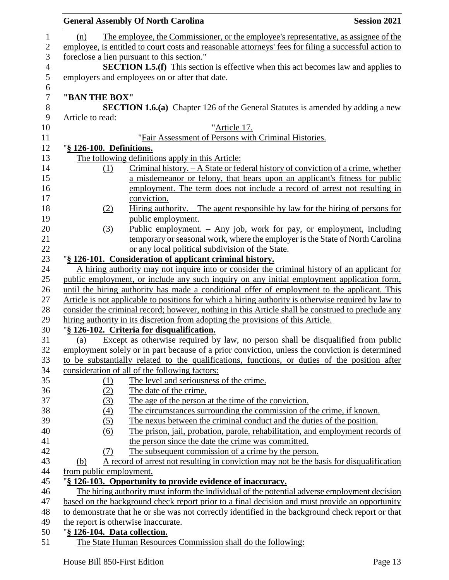|                |                              | <b>General Assembly Of North Carolina</b><br><b>Session 2021</b>                                      |  |
|----------------|------------------------------|-------------------------------------------------------------------------------------------------------|--|
| 1              | (n)                          | The employee, the Commissioner, or the employee's representative, as assignee of the                  |  |
| $\mathbf{2}$   |                              | employee, is entitled to court costs and reasonable attorneys' fees for filing a successful action to |  |
| 3              |                              | foreclose a lien pursuant to this section."                                                           |  |
| $\overline{4}$ |                              | <b>SECTION 1.5.(f)</b> This section is effective when this act becomes law and applies to             |  |
| 5              |                              | employers and employees on or after that date.                                                        |  |
| 6              |                              |                                                                                                       |  |
| $\overline{7}$ | "BAN THE BOX"                |                                                                                                       |  |
| $8\,$          |                              | <b>SECTION 1.6.(a)</b> Chapter 126 of the General Statutes is amended by adding a new                 |  |
| $\mathbf{9}$   | Article to read:             |                                                                                                       |  |
| 10             |                              | "Article 17.                                                                                          |  |
| 11             |                              | "Fair Assessment of Persons with Criminal Histories.                                                  |  |
| 12             | "§ 126-100. Definitions.     |                                                                                                       |  |
| 13             |                              | The following definitions apply in this Article:                                                      |  |
| 14             | (1)                          | Criminal history. - A State or federal history of conviction of a crime, whether                      |  |
| 15             |                              | a misdemeanor or felony, that bears upon an applicant's fitness for public                            |  |
| 16             |                              | employment. The term does not include a record of arrest not resulting in                             |  |
| 17             |                              | conviction.                                                                                           |  |
| 18             | (2)                          | Hiring authority. $-$ The agent responsible by law for the hiring of persons for                      |  |
| 19             |                              | public employment.                                                                                    |  |
| 20             | (3)                          | Public employment. $-$ Any job, work for pay, or employment, including                                |  |
| 21             |                              | temporary or seasonal work, where the employer is the State of North Carolina                         |  |
| 22             |                              | or any local political subdivision of the State.                                                      |  |
| 23             |                              | "§ 126-101. Consideration of applicant criminal history.                                              |  |
| 24             |                              | A hiring authority may not inquire into or consider the criminal history of an applicant for          |  |
| 25             |                              | public employment, or include any such inquiry on any initial employment application form,            |  |
| 26             |                              | until the hiring authority has made a conditional offer of employment to the applicant. This          |  |
| 27             |                              | Article is not applicable to positions for which a hiring authority is otherwise required by law to   |  |
| 28             |                              | consider the criminal record; however, nothing in this Article shall be construed to preclude any     |  |
| 29             |                              | hiring authority in its discretion from adopting the provisions of this Article.                      |  |
| 30             |                              | "§ 126-102. Criteria for disqualification.                                                            |  |
| 31             | (a)                          | Except as otherwise required by law, no person shall be disqualified from public                      |  |
| 32             |                              | employment solely or in part because of a prior conviction, unless the conviction is determined       |  |
| 33             |                              | to be substantially related to the qualifications, functions, or duties of the position after         |  |
| 34             |                              | consideration of all of the following factors:                                                        |  |
| 35             | (1)                          | The level and seriousness of the crime.                                                               |  |
| 36             | (2)                          | The date of the crime.                                                                                |  |
| 37             | (3)                          | The age of the person at the time of the conviction.                                                  |  |
| 38             | (4)                          | The circumstances surrounding the commission of the crime, if known.                                  |  |
| 39             | (5)                          | The nexus between the criminal conduct and the duties of the position.                                |  |
| 40             | (6)                          | The prison, jail, probation, parole, rehabilitation, and employment records of                        |  |
| 41             |                              | the person since the date the crime was committed.                                                    |  |
| 42             | (7)                          | The subsequent commission of a crime by the person.                                                   |  |
| 43             | (b)                          | A record of arrest not resulting in conviction may not be the basis for disqualification              |  |
| 44             | from public employment.      |                                                                                                       |  |
| 45             |                              | "§ 126-103. Opportunity to provide evidence of inaccuracy.                                            |  |
| 46             |                              | The hiring authority must inform the individual of the potential adverse employment decision          |  |
| 47             |                              | based on the background check report prior to a final decision and must provide an opportunity        |  |
| 48<br>49       |                              | to demonstrate that he or she was not correctly identified in the background check report or that     |  |
| 50             |                              | the report is otherwise inaccurate.                                                                   |  |
| 51             | "§ 126-104. Data collection. | The State Human Resources Commission shall do the following:                                          |  |
|                |                              |                                                                                                       |  |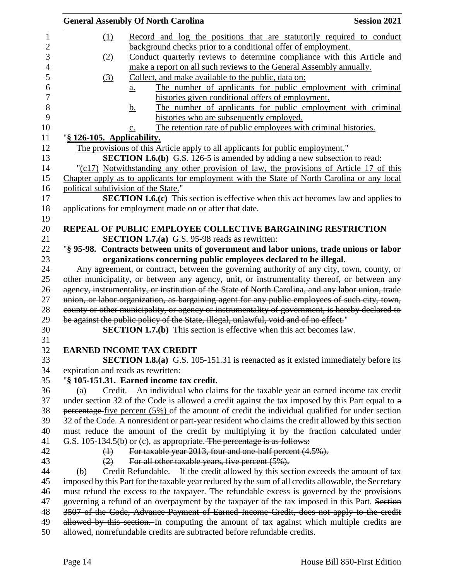|     | <b>General Assembly Of North Carolina</b>                                                            | <b>Session 2021</b> |
|-----|------------------------------------------------------------------------------------------------------|---------------------|
| (1) | Record and log the positions that are statutorily required to conduct                                |                     |
|     | background checks prior to a conditional offer of employment.                                        |                     |
| (2) | Conduct quarterly reviews to determine compliance with this Article and                              |                     |
|     | make a report on all such reviews to the General Assembly annually.                                  |                     |
| (3) | Collect, and make available to the public, data on:                                                  |                     |
|     | The number of applicants for public employment with criminal<br>$\underline{a}$ .                    |                     |
|     | histories given conditional offers of employment.                                                    |                     |
|     | The number of applicants for public employment with criminal<br><u>b.</u>                            |                     |
|     | histories who are subsequently employed.                                                             |                     |
|     | The retention rate of public employees with criminal histories.<br>$\mathbf{c}$ .                    |                     |
|     | "§ 126-105. Applicability.                                                                           |                     |
|     | The provisions of this Article apply to all applicants for public employment."                       |                     |
|     | <b>SECTION 1.6.(b)</b> G.S. 126-5 is amended by adding a new subsection to read:                     |                     |
|     | "(c17) Notwithstanding any other provision of law, the provisions of Article 17 of this              |                     |
|     | Chapter apply as to applicants for employment with the State of North Carolina or any local          |                     |
|     | political subdivision of the State."                                                                 |                     |
|     | <b>SECTION 1.6.(c)</b> This section is effective when this act becomes law and applies to            |                     |
|     | applications for employment made on or after that date.                                              |                     |
|     |                                                                                                      |                     |
|     | <b>REPEAL OF PUBLIC EMPLOYEE COLLECTIVE BARGAINING RESTRICTION</b>                                   |                     |
|     | <b>SECTION 1.7.(a)</b> G.S. 95-98 reads as rewritten:                                                |                     |
|     | "§ 95-98. Contracts between units of government and labor unions, trade unions or labor              |                     |
|     | organizations concerning public employees declared to be illegal.                                    |                     |
|     | Any agreement, or contract, between the governing authority of any city, town, county, or            |                     |
|     | other municipality, or between any agency, unit, or instrumentality thereof, or between any          |                     |
|     | agency, instrumentality, or institution of the State of North Carolina, and any labor union, trade   |                     |
|     | union, or labor organization, as bargaining agent for any public employees of such city, town,       |                     |
|     | county or other municipality, or agency or instrumentality of government, is hereby declared to      |                     |
|     | be against the public policy of the State, illegal, unlawful, void and of no effect."                |                     |
|     | <b>SECTION 1.7.(b)</b> This section is effective when this act becomes law.                          |                     |
|     | <b>EARNED INCOME TAX CREDIT</b>                                                                      |                     |
|     | <b>SECTION 1.8.(a)</b> G.S. 105-151.31 is reenacted as it existed immediately before its             |                     |
|     | expiration and reads as rewritten:                                                                   |                     |
|     | "§ 105-151.31. Earned income tax credit.                                                             |                     |
| (a) | Credit. - An individual who claims for the taxable year an earned income tax credit                  |                     |
|     | under section 32 of the Code is allowed a credit against the tax imposed by this Part equal to a     |                     |
|     | $percentage-five percent (5%) of the amount of credit the individual qualified for under section$    |                     |
|     | 32 of the Code. A nonresident or part-year resident who claims the credit allowed by this section    |                     |
|     | must reduce the amount of the credit by multiplying it by the fraction calculated under              |                     |
|     | G.S. 105-134.5(b) or (c), as appropriate. The percentage is as follows:                              |                     |
| (1) | For taxable year 2013, four and one-half percent (4.5%).                                             |                     |
|     | For all other taxable years, five percent (5%).<br>(2)                                               |                     |
|     | Credit Refundable. – If the credit allowed by this section exceeds the amount of tax                 |                     |
| (b) | imposed by this Part for the taxable year reduced by the sum of all credits allowable, the Secretary |                     |
|     | must refund the excess to the taxpayer. The refundable excess is governed by the provisions          |                     |
|     | governing a refund of an overpayment by the taxpayer of the tax imposed in this Part. Section        |                     |
|     | 3507 of the Code, Advance Payment of Earned Income Credit, does not apply to the credit              |                     |
|     | allowed by this section. In computing the amount of tax against which multiple credits are           |                     |
|     | allowed, nonrefundable credits are subtracted before refundable credits.                             |                     |
|     |                                                                                                      |                     |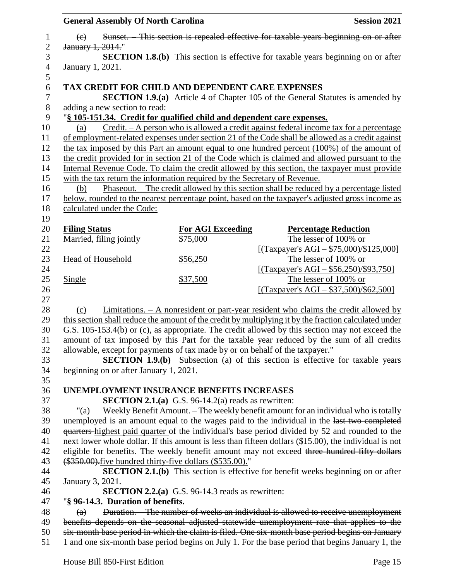| <b>General Assembly Of North Carolina</b>                                                             |                                                            | <b>Session 2021</b>                                                                                     |  |
|-------------------------------------------------------------------------------------------------------|------------------------------------------------------------|---------------------------------------------------------------------------------------------------------|--|
| $\left(\epsilon\right)$                                                                               |                                                            | Sunset. This section is repealed effective for taxable years beginning on or after                      |  |
| January 1, 2014."                                                                                     |                                                            |                                                                                                         |  |
|                                                                                                       |                                                            | <b>SECTION 1.8.(b)</b> This section is effective for taxable years beginning on or after                |  |
| January 1, 2021.                                                                                      |                                                            |                                                                                                         |  |
| TAX CREDIT FOR CHILD AND DEPENDENT CARE EXPENSES                                                      |                                                            |                                                                                                         |  |
|                                                                                                       |                                                            | <b>SECTION 1.9.(a)</b> Article 4 of Chapter 105 of the General Statutes is amended by                   |  |
| adding a new section to read:                                                                         |                                                            |                                                                                                         |  |
| "§ 105-151.34. Credit for qualified child and dependent care expenses.                                |                                                            |                                                                                                         |  |
| (a)                                                                                                   |                                                            | Credit. - A person who is allowed a credit against federal income tax for a percentage                  |  |
|                                                                                                       |                                                            | of employment-related expenses under section 21 of the Code shall be allowed as a credit against        |  |
|                                                                                                       |                                                            | the tax imposed by this Part an amount equal to one hundred percent (100%) of the amount of             |  |
|                                                                                                       |                                                            | the credit provided for in section 21 of the Code which is claimed and allowed pursuant to the          |  |
|                                                                                                       |                                                            | Internal Revenue Code. To claim the credit allowed by this section, the taxpayer must provide           |  |
| with the tax return the information required by the Secretary of Revenue.                             |                                                            |                                                                                                         |  |
| (b)                                                                                                   |                                                            | Phaseout. – The credit allowed by this section shall be reduced by a percentage listed                  |  |
|                                                                                                       |                                                            | below, rounded to the nearest percentage point, based on the taxpayer's adjusted gross income as        |  |
| calculated under the Code:                                                                            |                                                            |                                                                                                         |  |
| <b>Filing Status</b>                                                                                  | <b>For AGI Exceeding</b>                                   | <b>Percentage Reduction</b>                                                                             |  |
| Married, filing jointly                                                                               | \$75,000                                                   | The lesser of 100% or                                                                                   |  |
|                                                                                                       |                                                            | [(Taxpayer's AGI – $$75,000$ )/\$125,000]                                                               |  |
| <b>Head of Household</b>                                                                              | \$56,250                                                   | The lesser of 100% or                                                                                   |  |
|                                                                                                       |                                                            | [(Taxpayer's AGI – \$56,250)/\$93,750]                                                                  |  |
| Single                                                                                                | \$37,500                                                   | The lesser of 100% or                                                                                   |  |
|                                                                                                       |                                                            | [(Taxpayer's AGI – $$37,500$ )/\$62,500]                                                                |  |
|                                                                                                       |                                                            |                                                                                                         |  |
| (c)                                                                                                   |                                                            | <u>Limitations. <math>- A</math> nonresident or part-year resident who claims the credit allowed by</u> |  |
|                                                                                                       |                                                            | this section shall reduce the amount of the credit by multiplying it by the fraction calculated under   |  |
|                                                                                                       |                                                            | G.S. 105-153.4(b) or (c), as appropriate. The credit allowed by this section may not exceed the         |  |
|                                                                                                       |                                                            | amount of tax imposed by this Part for the taxable year reduced by the sum of all credits               |  |
| allowable, except for payments of tax made by or on behalf of the taxpayer."                          |                                                            |                                                                                                         |  |
|                                                                                                       |                                                            | <b>SECTION 1.9.(b)</b> Subsection (a) of this section is effective for taxable years                    |  |
| beginning on or after January 1, 2021.                                                                |                                                            |                                                                                                         |  |
|                                                                                                       |                                                            |                                                                                                         |  |
| <b>UNEMPLOYMENT INSURANCE BENEFITS INCREASES</b>                                                      |                                                            |                                                                                                         |  |
|                                                                                                       | <b>SECTION 2.1.(a)</b> G.S. 96-14.2(a) reads as rewritten: |                                                                                                         |  |
| "(a)                                                                                                  |                                                            | Weekly Benefit Amount. - The weekly benefit amount for an individual who is totally                     |  |
|                                                                                                       |                                                            | unemployed is an amount equal to the wages paid to the individual in the last two completed             |  |
|                                                                                                       |                                                            | quarters-highest paid quarter of the individual's base period divided by 52 and rounded to the          |  |
| next lower whole dollar. If this amount is less than fifteen dollars (\$15.00), the individual is not |                                                            |                                                                                                         |  |
| eligible for benefits. The weekly benefit amount may not exceed three hundred fifty dollars           |                                                            |                                                                                                         |  |
| (\$350.00). five hundred thirty-five dollars (\$535.00)."                                             |                                                            |                                                                                                         |  |
|                                                                                                       |                                                            | SECTION 2.1.(b) This section is effective for benefit weeks beginning on or after                       |  |
| January 3, 2021.                                                                                      |                                                            |                                                                                                         |  |
|                                                                                                       | <b>SECTION 2.2.(a)</b> G.S. 96-14.3 reads as rewritten:    |                                                                                                         |  |
| "§ 96-14.3. Duration of benefits.                                                                     |                                                            |                                                                                                         |  |
| $\left( a\right)$                                                                                     |                                                            | Duration. The number of weeks an individual is allowed to receive unemployment                          |  |
|                                                                                                       |                                                            | benefits depends on the seasonal adjusted statewide unemployment rate that applies to the               |  |
|                                                                                                       |                                                            | six-month base period in which the claim is filed. One six-month base period begins on January          |  |
|                                                                                                       |                                                            | 1 and one six-month base period begins on July 1. For the base period that begins January 1, the        |  |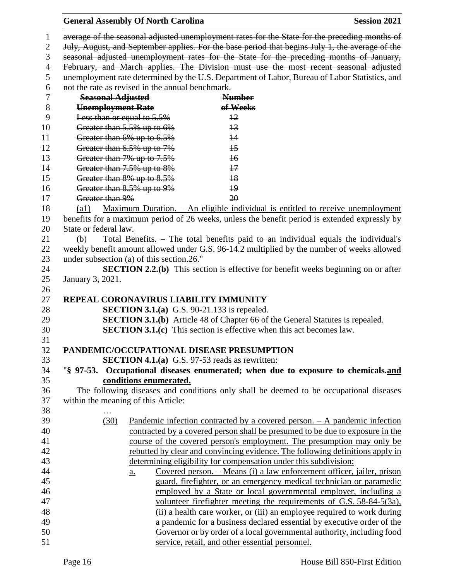**General Assembly Of North Carolina Session 2021**  average of the seasonal adjusted unemployment rates for the State for the preceding months of July, August, and September applies. For the base period that begins July 1, the average of the seasonal adjusted unemployment rates for the State for the preceding months of January, February, and March applies. The Division must use the most recent seasonal adjusted unemployment rate determined by the U.S. Department of Labor, Bureau of Labor Statistics, and not the rate as revised in the annual benchmark. **Seasonal Adjusted Number Unemployment Rate of Weeks** Less than or equal to 5.5% 12 10 Greater than 5.5% up to 6% 13 11 Greater than 6% up to 6.5% 14 12 Greater than 6.5% up to 7% 15 13 Greater than 7% up to 7.5% 16 14 Greater than 7.5% up to 8% 17 15 Greater than 8% up to 8.5% 18 16 Greater than 8.5% up to 9% 19 17 Greater than 9% 20 (a1) Maximum Duration. – An eligible individual is entitled to receive unemployment benefits for a maximum period of 26 weeks, unless the benefit period is extended expressly by State or federal law. (b) Total Benefits. – The total benefits paid to an individual equals the individual's 22 weekly benefit amount allowed under G.S. 96-14.2 multiplied by the number of weeks allowed 23 under subsection (a) of this section. 26." **SECTION 2.2.(b)** This section is effective for benefit weeks beginning on or after January 3, 2021. **REPEAL CORONAVIRUS LIABILITY IMMUNITY SECTION 3.1.(a)** G.S. 90-21.133 is repealed. **SECTION 3.1.(b)** Article 48 of Chapter 66 of the General Statutes is repealed. **SECTION 3.1.(c)** This section is effective when this act becomes law. **PANDEMIC/OCCUPATIONAL DISEASE PRESUMPTION SECTION 4.1.(a)** G.S. 97-53 reads as rewritten: "**§ 97-53. Occupational diseases enumerated; when due to exposure to chemicals.and conditions enumerated.** The following diseases and conditions only shall be deemed to be occupational diseases within the meaning of this Article: … (30) Pandemic infection contracted by a covered person. – A pandemic infection contracted by a covered person shall be presumed to be due to exposure in the course of the covered person's employment. The presumption may only be rebutted by clear and convincing evidence. The following definitions apply in determining eligibility for compensation under this subdivision: a. Covered person. – Means (i) a law enforcement officer, jailer, prison guard, firefighter, or an emergency medical technician or paramedic employed by a State or local governmental employer, including a volunteer firefighter meeting the requirements of G.S. 58-84-5(3a), (ii) a health care worker, or (iii) an employee required to work during a pandemic for a business declared essential by executive order of the Governor or by order of a local governmental authority, including food service, retail, and other essential personnel.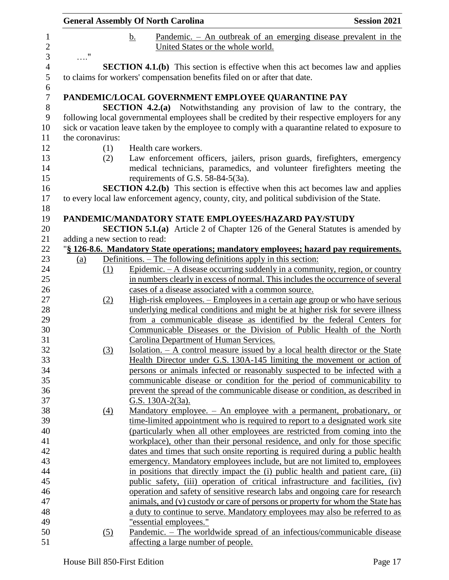|                               | <b>General Assembly Of North Carolina</b><br><b>Session 2021</b> |    |                                     |                                                                                                                                                                                                   |
|-------------------------------|------------------------------------------------------------------|----|-------------------------------------|---------------------------------------------------------------------------------------------------------------------------------------------------------------------------------------------------|
|                               |                                                                  | b. |                                     | Pandemic. $-$ An outbreak of an emerging disease prevalent in the                                                                                                                                 |
|                               |                                                                  |    |                                     | United States or the whole world.                                                                                                                                                                 |
| $\ldots$ "                    |                                                                  |    |                                     |                                                                                                                                                                                                   |
|                               |                                                                  |    |                                     | <b>SECTION 4.1.(b)</b> This section is effective when this act becomes law and applies                                                                                                            |
|                               |                                                                  |    |                                     | to claims for workers' compensation benefits filed on or after that date.                                                                                                                         |
|                               |                                                                  |    |                                     | PANDEMIC/LOCAL GOVERNMENT EMPLOYEE QUARANTINE PAY                                                                                                                                                 |
|                               |                                                                  |    |                                     | <b>SECTION 4.2.(a)</b> Notwithstanding any provision of law to the contrary, the                                                                                                                  |
|                               |                                                                  |    |                                     | following local governmental employees shall be credited by their respective employers for any<br>sick or vacation leave taken by the employee to comply with a quarantine related to exposure to |
| the coronavirus:              |                                                                  |    |                                     |                                                                                                                                                                                                   |
|                               | (1)                                                              |    | Health care workers.                |                                                                                                                                                                                                   |
|                               | (2)                                                              |    |                                     | Law enforcement officers, jailers, prison guards, firefighters, emergency                                                                                                                         |
|                               |                                                                  |    |                                     | medical technicians, paramedics, and volunteer firefighters meeting the                                                                                                                           |
|                               |                                                                  |    | requirements of G.S. 58-84-5(3a).   |                                                                                                                                                                                                   |
|                               |                                                                  |    |                                     | <b>SECTION 4.2.(b)</b> This section is effective when this act becomes law and applies<br>to every local law enforcement agency, county, city, and political subdivision of the State.            |
|                               |                                                                  |    |                                     |                                                                                                                                                                                                   |
|                               |                                                                  |    |                                     | PANDEMIC/MANDATORY STATE EMPLOYEES/HAZARD PAY/STUDY                                                                                                                                               |
|                               |                                                                  |    |                                     | <b>SECTION 5.1.(a)</b> Article 2 of Chapter 126 of the General Statutes is amended by                                                                                                             |
| adding a new section to read: |                                                                  |    |                                     |                                                                                                                                                                                                   |
|                               |                                                                  |    |                                     | "§ 126-8.6. Mandatory State operations; mandatory employees; hazard pay requirements.                                                                                                             |
| (a)                           |                                                                  |    |                                     | <u>Definitions. – The following definitions apply in this section:</u>                                                                                                                            |
|                               | (1)                                                              |    |                                     | Epidemic. $-A$ disease occurring suddenly in a community, region, or country                                                                                                                      |
|                               |                                                                  |    |                                     | in numbers clearly in excess of normal. This includes the occurrence of several                                                                                                                   |
|                               |                                                                  |    |                                     | cases of a disease associated with a common source.                                                                                                                                               |
|                               | (2)                                                              |    |                                     | High-risk employees. – Employees in a certain age group or who have serious                                                                                                                       |
|                               |                                                                  |    |                                     | underlying medical conditions and might be at higher risk for severe illness                                                                                                                      |
|                               |                                                                  |    |                                     | from a communicable disease as identified by the federal Centers for<br>Communicable Diseases or the Division of Public Health of the North                                                       |
|                               |                                                                  |    |                                     | Carolina Department of Human Services.                                                                                                                                                            |
|                               |                                                                  |    |                                     | Isolation. $- A$ control measure issued by a local health director or the State                                                                                                                   |
|                               | (3)                                                              |    |                                     | Health Director under G.S. 130A-145 limiting the movement or action of                                                                                                                            |
|                               |                                                                  |    |                                     | persons or animals infected or reasonably suspected to be infected with a                                                                                                                         |
|                               |                                                                  |    |                                     | communicable disease or condition for the period of communicability to                                                                                                                            |
|                               |                                                                  |    |                                     | prevent the spread of the communicable disease or condition, as described in                                                                                                                      |
|                               |                                                                  |    | G.S. $130A-2(3a)$ .                 |                                                                                                                                                                                                   |
|                               | $\left(4\right)$                                                 |    |                                     | <u>Mandatory employee. – An employee with a permanent, probationary, or</u>                                                                                                                       |
|                               |                                                                  |    |                                     | time-limited appointment who is required to report to a designated work site                                                                                                                      |
|                               |                                                                  |    |                                     | (particularly when all other employees are restricted from coming into the                                                                                                                        |
|                               |                                                                  |    |                                     | workplace), other than their personal residence, and only for those specific                                                                                                                      |
|                               |                                                                  |    |                                     | dates and times that such onsite reporting is required during a public health                                                                                                                     |
|                               |                                                                  |    |                                     | emergency. Mandatory employees include, but are not limited to, employees                                                                                                                         |
|                               |                                                                  |    |                                     | in positions that directly impact the (i) public health and patient care, (ii)                                                                                                                    |
|                               |                                                                  |    |                                     | public safety, (iii) operation of critical infrastructure and facilities, (iv)                                                                                                                    |
|                               |                                                                  |    |                                     | operation and safety of sensitive research labs and ongoing care for research                                                                                                                     |
|                               |                                                                  |    |                                     | animals, and (v) custody or care of persons or property for whom the State has                                                                                                                    |
|                               |                                                                  |    |                                     | a duty to continue to serve. Mandatory employees may also be referred to as                                                                                                                       |
|                               |                                                                  |    | "essential employees."              |                                                                                                                                                                                                   |
|                               | $\left( 5\right)$                                                |    |                                     | <u> Pandemic. – The worldwide spread of an infectious/communicable disease</u>                                                                                                                    |
|                               |                                                                  |    | affecting a large number of people. |                                                                                                                                                                                                   |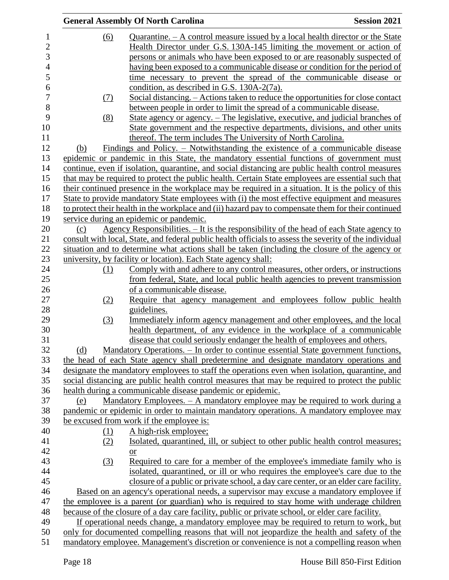|                | <b>General Assembly Of North Carolina</b> | <b>Session 2021</b>                                                                                     |  |
|----------------|-------------------------------------------|---------------------------------------------------------------------------------------------------------|--|
| 1              | (6)                                       | Quarantine. $- A$ control measure issued by a local health director or the State                        |  |
| $\overline{c}$ |                                           | Health Director under G.S. 130A-145 limiting the movement or action of                                  |  |
| 3              |                                           | persons or animals who have been exposed to or are reasonably suspected of                              |  |
| 4              |                                           | having been exposed to a communicable disease or condition for the period of                            |  |
| 5              |                                           | time necessary to prevent the spread of the communicable disease or                                     |  |
| 6              |                                           | condition, as described in G.S. 130A-2(7a).                                                             |  |
| 7              | (7)                                       | Social distancing. – Actions taken to reduce the opportunities for close contact                        |  |
| 8              |                                           | between people in order to limit the spread of a communicable disease.                                  |  |
| 9              | (8)                                       | State agency or agency. – The legislative, executive, and judicial branches of                          |  |
| 10             |                                           | State government and the respective departments, divisions, and other units                             |  |
| 11             |                                           | thereof. The term includes The University of North Carolina.                                            |  |
| 12             | (b)                                       | <u>Findings and Policy. – Notwithstanding the existence of a communicable disease</u>                   |  |
| 13             |                                           | epidemic or pandemic in this State, the mandatory essential functions of government must                |  |
| 14             |                                           | continue, even if isolation, quarantine, and social distancing are public health control measures       |  |
| 15             |                                           | that may be required to protect the public health. Certain State employees are essential such that      |  |
| 16             |                                           | their continued presence in the workplace may be required in a situation. It is the policy of this      |  |
| 17             |                                           | State to provide mandatory State employees with (i) the most effective equipment and measures           |  |
| 18             |                                           | to protect their health in the workplace and (ii) hazard pay to compensate them for their continued     |  |
| 19             |                                           | service during an epidemic or pandemic.                                                                 |  |
| 20             | (c)                                       | Agency Responsibilities. $-$ It is the responsibility of the head of each State agency to               |  |
| 21             |                                           | consult with local, State, and federal public health officials to assess the severity of the individual |  |
| 22             |                                           | situation and to determine what actions shall be taken (including the closure of the agency or          |  |
| 23             |                                           | university, by facility or location). Each State agency shall:                                          |  |
| 24             | (1)                                       | Comply with and adhere to any control measures, other orders, or instructions                           |  |
| 25             |                                           | from federal, State, and local public health agencies to prevent transmission                           |  |
| 26             |                                           | of a communicable disease.                                                                              |  |
| 27             | (2)                                       | Require that agency management and employees follow public health                                       |  |
| 28             |                                           | guidelines.                                                                                             |  |
| 29             | (3)                                       | Immediately inform agency management and other employees, and the local                                 |  |
| 30             |                                           | health department, of any evidence in the workplace of a communicable                                   |  |
| 31             |                                           | disease that could seriously endanger the health of employees and others                                |  |
| 32             | (d)                                       | Mandatory Operations. - In order to continue essential State government functions,                      |  |
| 33             |                                           | the head of each State agency shall predetermine and designate mandatory operations and                 |  |
| 34             |                                           | designate the mandatory employees to staff the operations even when isolation, quarantine, and          |  |
| 35             |                                           | social distancing are public health control measures that may be required to protect the public         |  |
| 36             |                                           | health during a communicable disease pandemic or epidemic.                                              |  |
| 37             | (e)                                       | Mandatory Employees. – A mandatory employee may be required to work during a                            |  |
| 38             |                                           | pandemic or epidemic in order to maintain mandatory operations. A mandatory employee may                |  |
| 39             |                                           | be excused from work if the employee is:                                                                |  |
| 40             | (1)                                       | A high-risk employee;                                                                                   |  |
| 41             | (2)                                       | <u>Isolated, quarantined, ill, or subject to other public health control measures;</u>                  |  |
| 42             |                                           | <b>or</b>                                                                                               |  |
| 43             | (3)                                       | Required to care for a member of the employee's immediate family who is                                 |  |
| 44             |                                           | isolated, quarantined, or ill or who requires the employee's care due to the                            |  |
| 45             |                                           | closure of a public or private school, a day care center, or an elder care facility.                    |  |
| 46             |                                           | Based on an agency's operational needs, a supervisor may excuse a mandatory employee if                 |  |
| 47             |                                           | the employee is a parent (or guardian) who is required to stay home with underage children              |  |
| 48             |                                           | because of the closure of a day care facility, public or private school, or elder care facility.        |  |
| 49             |                                           | If operational needs change, a mandatory employee may be required to return to work, but                |  |
| 50             |                                           | only for documented compelling reasons that will not jeopardize the health and safety of the            |  |
| 51             |                                           | mandatory employee. Management's discretion or convenience is not a compelling reason when              |  |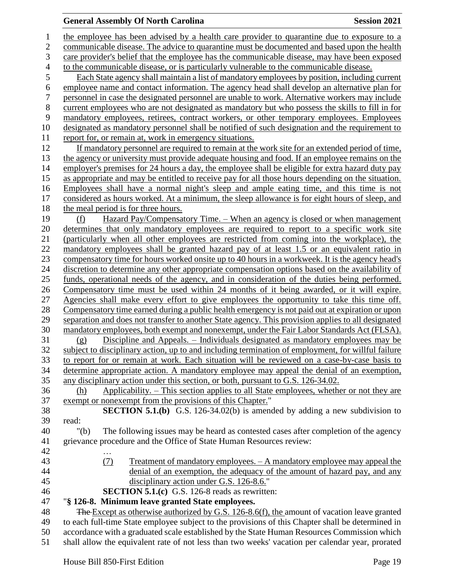### **General Assembly Of North Carolina Session 2021**

 the employee has been advised by a health care provider to quarantine due to exposure to a communicable disease. The advice to quarantine must be documented and based upon the health care provider's belief that the employee has the communicable disease, may have been exposed to the communicable disease, or is particularly vulnerable to the communicable disease. Each State agency shall maintain a list of mandatory employees by position, including current employee name and contact information. The agency head shall develop an alternative plan for personnel in case the designated personnel are unable to work. Alternative workers may include current employees who are not designated as mandatory but who possess the skills to fill in for mandatory employees, retirees, contract workers, or other temporary employees. Employees designated as mandatory personnel shall be notified of such designation and the requirement to report for, or remain at, work in emergency situations. If mandatory personnel are required to remain at the work site for an extended period of time, the agency or university must provide adequate housing and food. If an employee remains on the employer's premises for 24 hours a day, the employee shall be eligible for extra hazard duty pay as appropriate and may be entitled to receive pay for all those hours depending on the situation. Employees shall have a normal night's sleep and ample eating time, and this time is not considered as hours worked. At a minimum, the sleep allowance is for eight hours of sleep, and the meal period is for three hours. (f) Hazard Pay/Compensatory Time. – When an agency is closed or when management determines that only mandatory employees are required to report to a specific work site (particularly when all other employees are restricted from coming into the workplace), the mandatory employees shall be granted hazard pay of at least 1.5 or an equivalent ratio in compensatory time for hours worked onsite up to 40 hours in a workweek. It is the agency head's discretion to determine any other appropriate compensation options based on the availability of funds, operational needs of the agency, and in consideration of the duties being performed. Compensatory time must be used within 24 months of it being awarded, or it will expire. Agencies shall make every effort to give employees the opportunity to take this time off. Compensatory time earned during a public health emergency is not paid out at expiration or upon separation and does not transfer to another State agency. This provision applies to all designated mandatory employees, both exempt and nonexempt, under the Fair Labor Standards Act (FLSA). (g) Discipline and Appeals. – Individuals designated as mandatory employees may be subject to disciplinary action, up to and including termination of employment, for willful failure to report for or remain at work. Each situation will be reviewed on a case-by-case basis to determine appropriate action. A mandatory employee may appeal the denial of an exemption, any disciplinary action under this section, or both, pursuant to G.S. 126-34.02. (h) Applicability. – This section applies to all State employees, whether or not they are exempt or nonexempt from the provisions of this Chapter." **SECTION 5.1.(b)** G.S. 126-34.02(b) is amended by adding a new subdivision to read: "(b) The following issues may be heard as contested cases after completion of the agency grievance procedure and the Office of State Human Resources review: … (7) Treatment of mandatory employees. – A mandatory employee may appeal the denial of an exemption, the adequacy of the amount of hazard pay, and any disciplinary action under G.S. 126-8.6." **SECTION 5.1.(c)** G.S. 126-8 reads as rewritten: "**§ 126-8. Minimum leave granted State employees.** 48 The Except as otherwise authorized by G.S. 126-8.6(f), the amount of vacation leave granted to each full-time State employee subject to the provisions of this Chapter shall be determined in accordance with a graduated scale established by the State Human Resources Commission which

shall allow the equivalent rate of not less than two weeks' vacation per calendar year, prorated